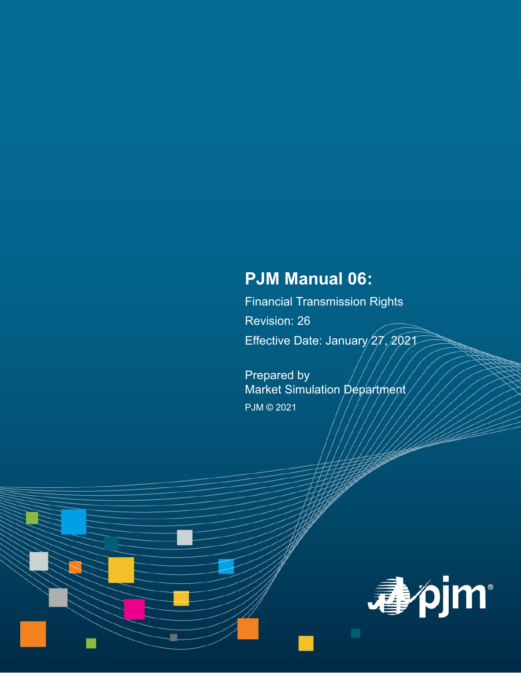# **PJM Manual 06:**

Financial Transmission Rights Revision: 26 Effective Date: January 27, 2021

Prepared by Market Simulation Department PJM © 2021

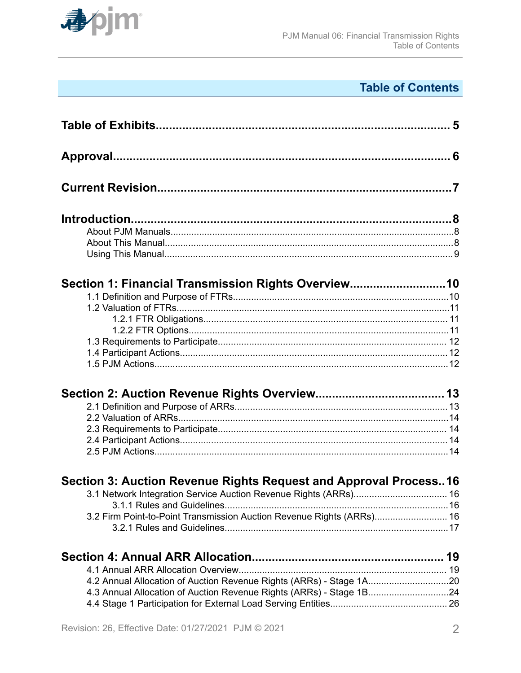

# **Table of Contents**

| Section 1: Financial Transmission Rights Overview10                   |  |
|-----------------------------------------------------------------------|--|
|                                                                       |  |
|                                                                       |  |
|                                                                       |  |
|                                                                       |  |
|                                                                       |  |
|                                                                       |  |
|                                                                       |  |
|                                                                       |  |
|                                                                       |  |
|                                                                       |  |
|                                                                       |  |
|                                                                       |  |
|                                                                       |  |
| Section 3: Auction Revenue Rights Request and Approval Process16      |  |
|                                                                       |  |
|                                                                       |  |
| 3.2 Firm Point-to-Point Transmission Auction Revenue Rights (ARRs) 16 |  |
|                                                                       |  |
|                                                                       |  |
|                                                                       |  |
| 4.2 Annual Allocation of Auction Revenue Rights (ARRs) - Stage 1A20   |  |
| 4.3 Annual Allocation of Auction Revenue Rights (ARRs) - Stage 1B24   |  |
|                                                                       |  |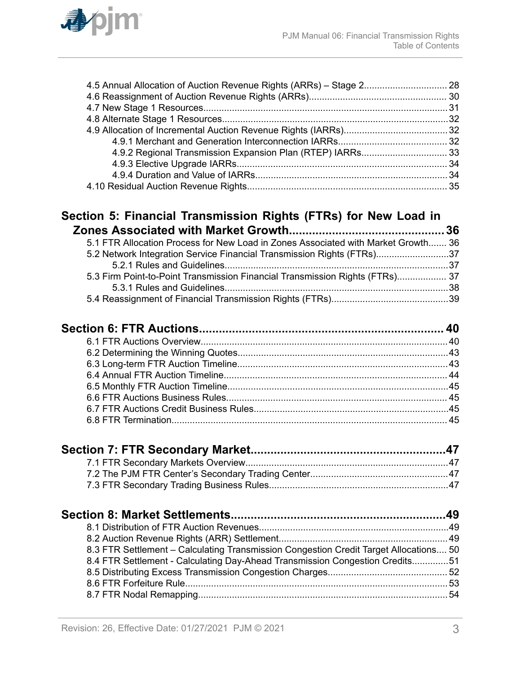

#### **[Section 5: Financial Transmission Rights \(FTRs\) for New Load in](#page-35-0) [Zones Associated with Market Growth...............................................36](#page-35-0)**

| 5.1 FTR Allocation Process for New Load in Zones Associated with Market Growth 36 |  |
|-----------------------------------------------------------------------------------|--|
| 5.2 Network Integration Service Financial Transmission Rights (FTRs)37            |  |
|                                                                                   |  |
| 5.3 Firm Point-to-Point Transmission Financial Transmission Rights (FTRs) 37      |  |
|                                                                                   |  |
|                                                                                   |  |

| 8.2. Auction Povenue Pights (APP) Sottlement<br>$\overline{A}$ $\Omega$ |  |
|-------------------------------------------------------------------------|--|

| 8.3 FTR Settlement – Calculating Transmission Congestion Credit Target Allocations 50 |  |
|---------------------------------------------------------------------------------------|--|
| 8.4 FTR Settlement - Calculating Day-Ahead Transmission Congestion Credits51          |  |
|                                                                                       |  |
|                                                                                       |  |
|                                                                                       |  |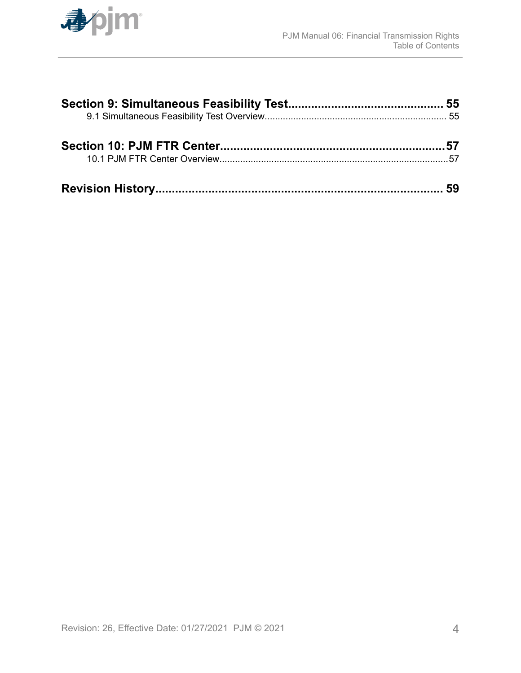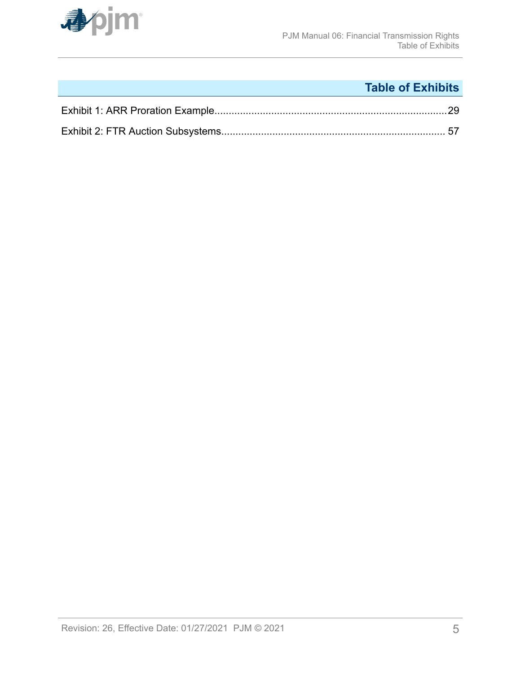<span id="page-4-0"></span>

# **Table of Exhibits**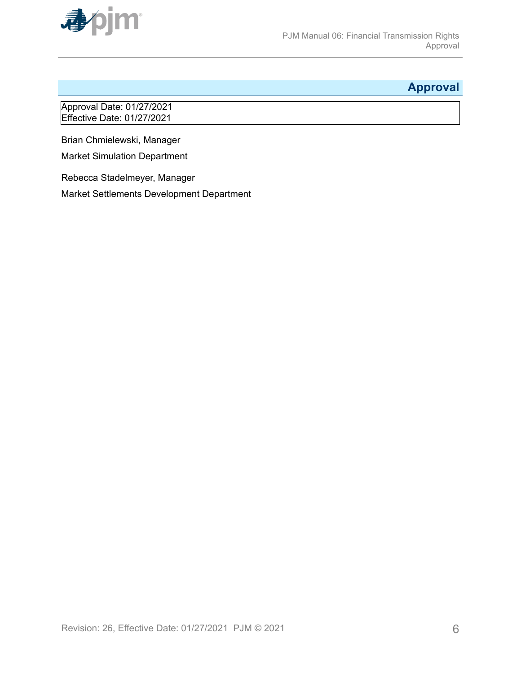<span id="page-5-0"></span>

# **Approval**

Approval Date: 01/27/2021 Effective Date: 01/27/2021

Brian Chmielewski, Manager

Market Simulation Department

Rebecca Stadelmeyer, Manager

Market Settlements Development Department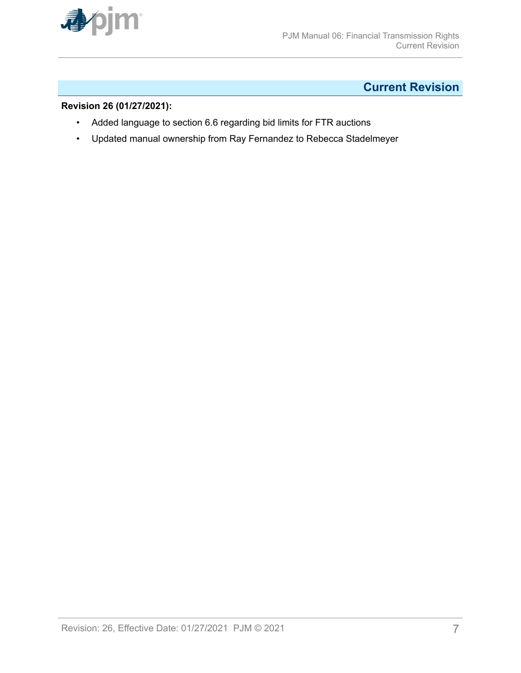<span id="page-6-0"></span>

# **Current Revision**

#### **Revision 26 (01/27/2021):**

- Added language to section 6.6 regarding bid limits for FTR auctions
- Updated manual ownership from Ray Fernandez to Rebecca Stadelmeyer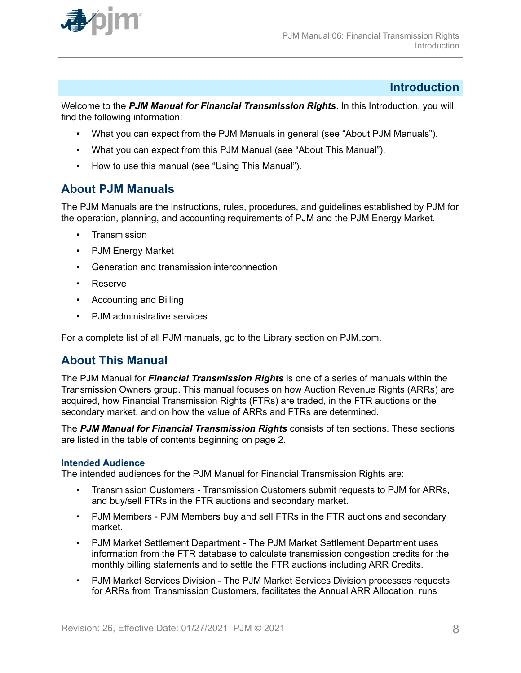<span id="page-7-0"></span>

#### **Introduction**

Welcome to the *PJM Manual for Financial Transmission Rights*. In this Introduction, you will find the following information:

- What you can expect from the PJM Manuals in general (see "About PJM Manuals").
- What you can expect from this PJM Manual (see "About This Manual").
- How to use this manual (see "Using This Manual").

### **About PJM Manuals**

The PJM Manuals are the instructions, rules, procedures, and guidelines established by PJM for the operation, planning, and accounting requirements of PJM and the PJM Energy Market.

- **Transmission**
- PJM Energy Market
- Generation and transmission interconnection
- Reserve
- Accounting and Billing
- PJM administrative services

For a complete list of all PJM manuals, go to the Library section on PJM.com.

### **About This Manual**

The PJM Manual for *Financial Transmission Rights* is one of a series of manuals within the Transmission Owners group. This manual focuses on how Auction Revenue Rights (ARRs) are acquired, how Financial Transmission Rights (FTRs) are traded, in the FTR auctions or the secondary market, and on how the value of ARRs and FTRs are determined.

The *PJM Manual for Financial Transmission Rights* consists of ten sections. These sections are listed in the table of contents beginning on page 2.

#### **Intended Audience**

The intended audiences for the PJM Manual for Financial Transmission Rights are:

- Transmission Customers Transmission Customers submit requests to PJM for ARRs, and buy/sell FTRs in the FTR auctions and secondary market.
- PJM Members PJM Members buy and sell FTRs in the FTR auctions and secondary market.
- PJM Market Settlement Department The PJM Market Settlement Department uses information from the FTR database to calculate transmission congestion credits for the monthly billing statements and to settle the FTR auctions including ARR Credits.
- PJM Market Services Division The PJM Market Services Division processes requests for ARRs from Transmission Customers, facilitates the Annual ARR Allocation, runs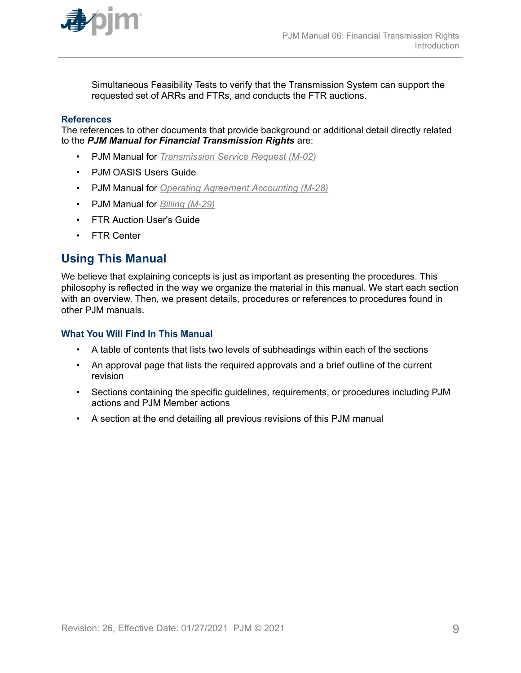<span id="page-8-0"></span>

Simultaneous Feasibility Tests to verify that the Transmission System can support the requested set of ARRs and FTRs, and conducts the FTR auctions.

#### **References**

The references to other documents that provide background or additional detail directly related to the *PJM Manual for Financial Transmission Rights* are:

- PJM Manual for *[Transmission Service Request \(M-02\)](http://www.pjm.com/~/media/documents/manuals/m02.ashx)*
- PJM OASIS Users Guide
- PJM Manual for *[Operating Agreement Accounting \(M-28\)](http://www.pjm.com/~/media/documents/manuals/m28.ashx)*
- PJM Manual for *[Billing \(M-29\)](http://www.pjm.com/~/media/documents/manuals/m29.ashx)*
- FTR Auction User's Guide
- FTR Center

### **Using This Manual**

We believe that explaining concepts is just as important as presenting the procedures. This philosophy is reflected in the way we organize the material in this manual. We start each section with an overview. Then, we present details, procedures or references to procedures found in other PJM manuals.

#### **What You Will Find In This Manual**

- A table of contents that lists two levels of subheadings within each of the sections
- An approval page that lists the required approvals and a brief outline of the current revision
- Sections containing the specific guidelines, requirements, or procedures including PJM actions and PJM Member actions
- A section at the end detailing all previous revisions of this PJM manual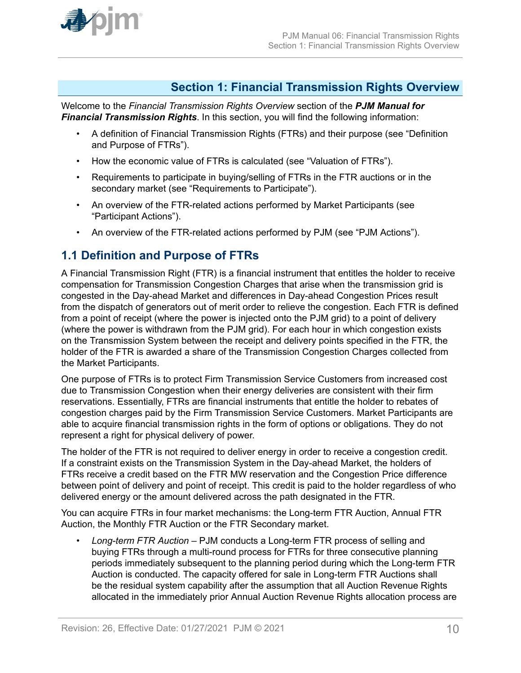<span id="page-9-0"></span>

### **Section 1: Financial Transmission Rights Overview**

Welcome to the *Financial Transmission Rights Overview* section of the *PJM Manual for Financial Transmission Rights*. In this section, you will find the following information:

- A definition of Financial Transmission Rights (FTRs) and their purpose (see "Definition and Purpose of FTRs").
- How the economic value of FTRs is calculated (see "Valuation of FTRs").
- Requirements to participate in buying/selling of FTRs in the FTR auctions or in the secondary market (see "Requirements to Participate").
- An overview of the FTR-related actions performed by Market Participants (see "Participant Actions").
- An overview of the FTR-related actions performed by PJM (see "PJM Actions").

#### **1.1 Definition and Purpose of FTRs**

A Financial Transmission Right (FTR) is a financial instrument that entitles the holder to receive compensation for Transmission Congestion Charges that arise when the transmission grid is congested in the Day-ahead Market and differences in Day-ahead Congestion Prices result from the dispatch of generators out of merit order to relieve the congestion. Each FTR is defined from a point of receipt (where the power is injected onto the PJM grid) to a point of delivery (where the power is withdrawn from the PJM grid). For each hour in which congestion exists on the Transmission System between the receipt and delivery points specified in the FTR, the holder of the FTR is awarded a share of the Transmission Congestion Charges collected from the Market Participants.

One purpose of FTRs is to protect Firm Transmission Service Customers from increased cost due to Transmission Congestion when their energy deliveries are consistent with their firm reservations. Essentially, FTRs are financial instruments that entitle the holder to rebates of congestion charges paid by the Firm Transmission Service Customers. Market Participants are able to acquire financial transmission rights in the form of options or obligations. They do not represent a right for physical delivery of power.

The holder of the FTR is not required to deliver energy in order to receive a congestion credit. If a constraint exists on the Transmission System in the Day-ahead Market, the holders of FTRs receive a credit based on the FTR MW reservation and the Congestion Price difference between point of delivery and point of receipt. This credit is paid to the holder regardless of who delivered energy or the amount delivered across the path designated in the FTR.

You can acquire FTRs in four market mechanisms: the Long-term FTR Auction, Annual FTR Auction, the Monthly FTR Auction or the FTR Secondary market.

• *Long-term FTR Auction* – PJM conducts a Long-term FTR process of selling and buying FTRs through a multi-round process for FTRs for three consecutive planning periods immediately subsequent to the planning period during which the Long-term FTR Auction is conducted. The capacity offered for sale in Long-term FTR Auctions shall be the residual system capability after the assumption that all Auction Revenue Rights allocated in the immediately prior Annual Auction Revenue Rights allocation process are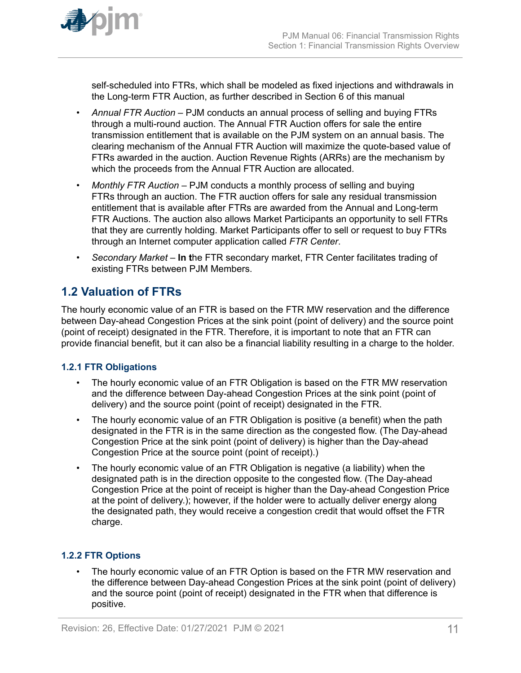<span id="page-10-0"></span>

self-scheduled into FTRs, which shall be modeled as fixed injections and withdrawals in the Long-term FTR Auction, as further described in Section 6 of this manual

- *Annual FTR Auction –* PJM conducts an annual process of selling and buying FTRs through a multi-round auction. The Annual FTR Auction offers for sale the entire transmission entitlement that is available on the PJM system on an annual basis. The clearing mechanism of the Annual FTR Auction will maximize the quote-based value of FTRs awarded in the auction. Auction Revenue Rights (ARRs) are the mechanism by which the proceeds from the Annual FTR Auction are allocated.
- *Monthly FTR Auction –* PJM conducts a monthly process of selling and buying FTRs through an auction. The FTR auction offers for sale any residual transmission entitlement that is available after FTRs are awarded from the Annual and Long-term FTR Auctions. The auction also allows Market Participants an opportunity to sell FTRs that they are currently holding. Market Participants offer to sell or request to buy FTRs through an Internet computer application called *FTR Center*.
- *Secondary Market –* **In t**he FTR secondary market, FTR Center facilitates trading of existing FTRs between PJM Members.

# **1.2 Valuation of FTRs**

The hourly economic value of an FTR is based on the FTR MW reservation and the difference between Day-ahead Congestion Prices at the sink point (point of delivery) and the source point (point of receipt) designated in the FTR. Therefore, it is important to note that an FTR can provide financial benefit, but it can also be a financial liability resulting in a charge to the holder.

#### **1.2.1 FTR Obligations**

- The hourly economic value of an FTR Obligation is based on the FTR MW reservation and the difference between Day-ahead Congestion Prices at the sink point (point of delivery) and the source point (point of receipt) designated in the FTR.
- The hourly economic value of an FTR Obligation is positive (a benefit) when the path designated in the FTR is in the same direction as the congested flow. (The Day-ahead Congestion Price at the sink point (point of delivery) is higher than the Day-ahead Congestion Price at the source point (point of receipt).)
- The hourly economic value of an FTR Obligation is negative (a liability) when the designated path is in the direction opposite to the congested flow. (The Day-ahead Congestion Price at the point of receipt is higher than the Day-ahead Congestion Price at the point of delivery.); however, if the holder were to actually deliver energy along the designated path, they would receive a congestion credit that would offset the FTR charge.

#### **1.2.2 FTR Options**

• The hourly economic value of an FTR Option is based on the FTR MW reservation and the difference between Day-ahead Congestion Prices at the sink point (point of delivery) and the source point (point of receipt) designated in the FTR when that difference is positive.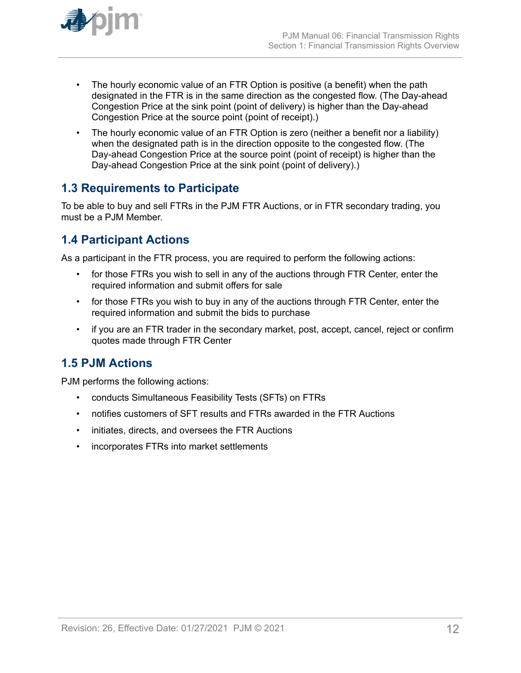<span id="page-11-0"></span>

- The hourly economic value of an FTR Option is positive (a benefit) when the path designated in the FTR is in the same direction as the congested flow. (The Day-ahead Congestion Price at the sink point (point of delivery) is higher than the Day-ahead Congestion Price at the source point (point of receipt).)
- The hourly economic value of an FTR Option is zero (neither a benefit nor a liability) when the designated path is in the direction opposite to the congested flow. (The Day-ahead Congestion Price at the source point (point of receipt) is higher than the Day-ahead Congestion Price at the sink point (point of delivery).)

### **1.3 Requirements to Participate**

To be able to buy and sell FTRs in the PJM FTR Auctions, or in FTR secondary trading, you must be a PJM Member.

### **1.4 Participant Actions**

As a participant in the FTR process, you are required to perform the following actions:

- for those FTRs you wish to sell in any of the auctions through FTR Center, enter the required information and submit offers for sale
- for those FTRs you wish to buy in any of the auctions through FTR Center, enter the required information and submit the bids to purchase
- if you are an FTR trader in the secondary market, post, accept, cancel, reject or confirm quotes made through FTR Center

# **1.5 PJM Actions**

PJM performs the following actions:

- conducts Simultaneous Feasibility Tests (SFTs) on FTRs
- notifies customers of SFT results and FTRs awarded in the FTR Auctions
- initiates, directs, and oversees the FTR Auctions
- incorporates FTRs into market settlements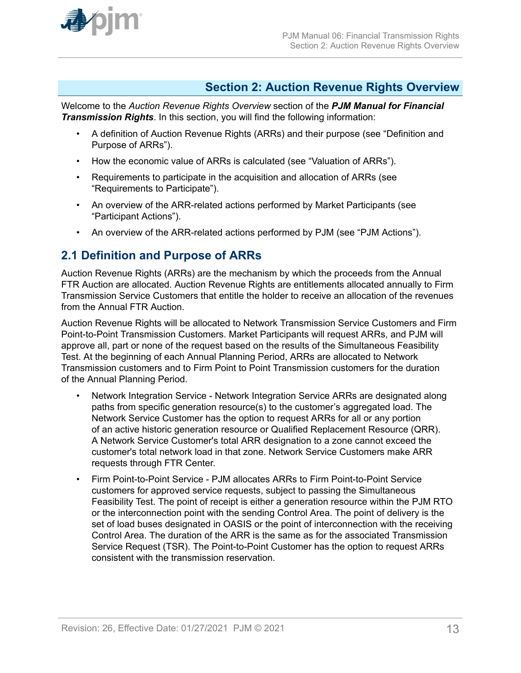<span id="page-12-0"></span>

### **Section 2: Auction Revenue Rights Overview**

Welcome to the *Auction Revenue Rights Overview* section of the *PJM Manual for Financial Transmission Rights*. In this section, you will find the following information:

- A definition of Auction Revenue Rights (ARRs) and their purpose (see "Definition and Purpose of ARRs").
- How the economic value of ARRs is calculated (see "Valuation of ARRs").
- Requirements to participate in the acquisition and allocation of ARRs (see "Requirements to Participate").
- An overview of the ARR-related actions performed by Market Participants (see "Participant Actions").
- An overview of the ARR-related actions performed by PJM (see "PJM Actions").

### **2.1 Definition and Purpose of ARRs**

Auction Revenue Rights (ARRs) are the mechanism by which the proceeds from the Annual FTR Auction are allocated. Auction Revenue Rights are entitlements allocated annually to Firm Transmission Service Customers that entitle the holder to receive an allocation of the revenues from the Annual FTR Auction.

Auction Revenue Rights will be allocated to Network Transmission Service Customers and Firm Point-to-Point Transmission Customers. Market Participants will request ARRs, and PJM will approve all, part or none of the request based on the results of the Simultaneous Feasibility Test. At the beginning of each Annual Planning Period, ARRs are allocated to Network Transmission customers and to Firm Point to Point Transmission customers for the duration of the Annual Planning Period.

- Network Integration Service Network Integration Service ARRs are designated along paths from specific generation resource(s) to the customer's aggregated load. The Network Service Customer has the option to request ARRs for all or any portion of an active historic generation resource or Qualified Replacement Resource (QRR). A Network Service Customer's total ARR designation to a zone cannot exceed the customer's total network load in that zone. Network Service Customers make ARR requests through FTR Center.
- Firm Point-to-Point Service PJM allocates ARRs to Firm Point-to-Point Service customers for approved service requests, subject to passing the Simultaneous Feasibility Test. The point of receipt is either a generation resource within the PJM RTO or the interconnection point with the sending Control Area. The point of delivery is the set of load buses designated in OASIS or the point of interconnection with the receiving Control Area. The duration of the ARR is the same as for the associated Transmission Service Request (TSR). The Point-to-Point Customer has the option to request ARRs consistent with the transmission reservation.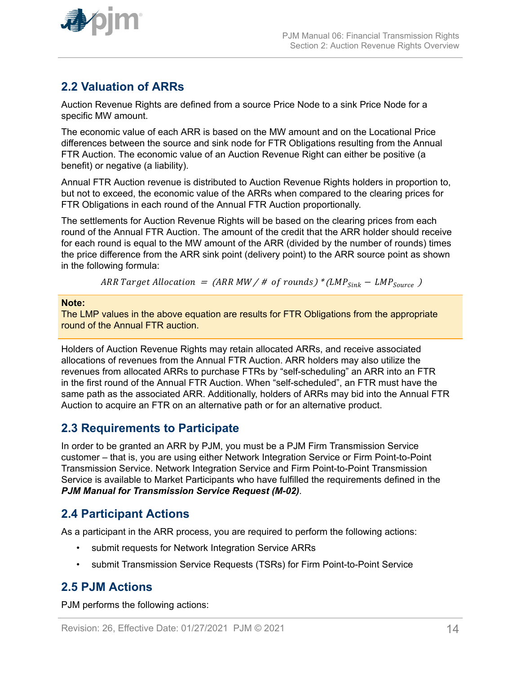<span id="page-13-0"></span>

## **2.2 Valuation of ARRs**

Auction Revenue Rights are defined from a source Price Node to a sink Price Node for a specific MW amount.

The economic value of each ARR is based on the MW amount and on the Locational Price differences between the source and sink node for FTR Obligations resulting from the Annual FTR Auction. The economic value of an Auction Revenue Right can either be positive (a benefit) or negative (a liability).

Annual FTR Auction revenue is distributed to Auction Revenue Rights holders in proportion to, but not to exceed, the economic value of the ARRs when compared to the clearing prices for FTR Obligations in each round of the Annual FTR Auction proportionally.

The settlements for Auction Revenue Rights will be based on the clearing prices from each round of the Annual FTR Auction. The amount of the credit that the ARR holder should receive for each round is equal to the MW amount of the ARR (divided by the number of rounds) times the price difference from the ARR sink point (delivery point) to the ARR source point as shown in the following formula:

ARR Target Allocation =  $(ARR MW / # of rounds)*(LMP<sub>Sink</sub> - LMP<sub>Source</sub>)$ 

#### **Note:**

The LMP values in the above equation are results for FTR Obligations from the appropriate round of the Annual FTR auction.

Holders of Auction Revenue Rights may retain allocated ARRs, and receive associated allocations of revenues from the Annual FTR Auction. ARR holders may also utilize the revenues from allocated ARRs to purchase FTRs by "self-scheduling" an ARR into an FTR in the first round of the Annual FTR Auction. When "self-scheduled", an FTR must have the same path as the associated ARR. Additionally, holders of ARRs may bid into the Annual FTR Auction to acquire an FTR on an alternative path or for an alternative product.

#### **2.3 Requirements to Participate**

In order to be granted an ARR by PJM, you must be a PJM Firm Transmission Service customer – that is, you are using either Network Integration Service or Firm Point-to-Point Transmission Service. Network Integration Service and Firm Point-to-Point Transmission Service is available to Market Participants who have fulfilled the requirements defined in the *PJM Manual for Transmission Service Request (M-02)*.

#### **2.4 Participant Actions**

As a participant in the ARR process, you are required to perform the following actions:

- submit requests for Network Integration Service ARRs
- submit Transmission Service Requests (TSRs) for Firm Point-to-Point Service

#### **2.5 PJM Actions**

PJM performs the following actions: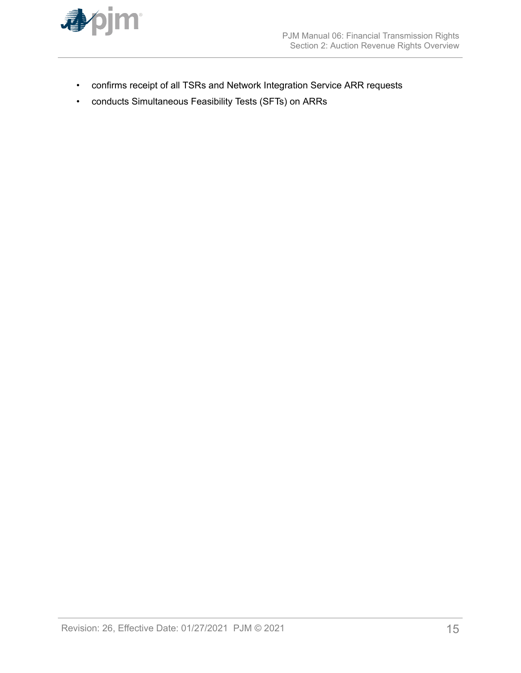

- confirms receipt of all TSRs and Network Integration Service ARR requests
- conducts Simultaneous Feasibility Tests (SFTs) on ARRs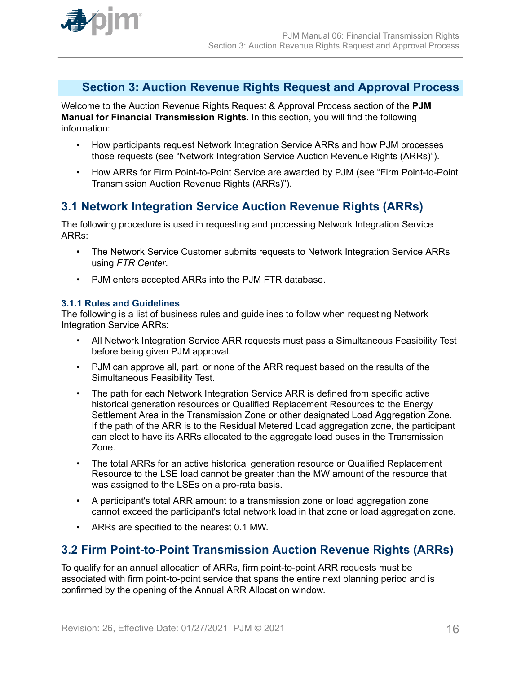<span id="page-15-0"></span>

### **Section 3: Auction Revenue Rights Request and Approval Process**

Welcome to the Auction Revenue Rights Request & Approval Process section of the **PJM Manual for Financial Transmission Rights.** In this section, you will find the following information:

- How participants request Network Integration Service ARRs and how PJM processes those requests (see "Network Integration Service Auction Revenue Rights (ARRs)").
- How ARRs for Firm Point-to-Point Service are awarded by PJM (see "Firm Point-to-Point Transmission Auction Revenue Rights (ARRs)").

# **3.1 Network Integration Service Auction Revenue Rights (ARRs)**

The following procedure is used in requesting and processing Network Integration Service ARRs:

- The Network Service Customer submits requests to Network Integration Service ARRs using *FTR Center*.
- PJM enters accepted ARRs into the PJM FTR database.

#### **3.1.1 Rules and Guidelines**

The following is a list of business rules and guidelines to follow when requesting Network Integration Service ARRs:

- All Network Integration Service ARR requests must pass a Simultaneous Feasibility Test before being given PJM approval.
- PJM can approve all, part, or none of the ARR request based on the results of the Simultaneous Feasibility Test.
- The path for each Network Integration Service ARR is defined from specific active historical generation resources or Qualified Replacement Resources to the Energy Settlement Area in the Transmission Zone or other designated Load Aggregation Zone. If the path of the ARR is to the Residual Metered Load aggregation zone, the participant can elect to have its ARRs allocated to the aggregate load buses in the Transmission Zone.
- The total ARRs for an active historical generation resource or Qualified Replacement Resource to the LSE load cannot be greater than the MW amount of the resource that was assigned to the LSEs on a pro-rata basis.
- A participant's total ARR amount to a transmission zone or load aggregation zone cannot exceed the participant's total network load in that zone or load aggregation zone.
- ARRs are specified to the nearest 0.1 MW.

### **3.2 Firm Point-to-Point Transmission Auction Revenue Rights (ARRs)**

To qualify for an annual allocation of ARRs, firm point-to-point ARR requests must be associated with firm point-to-point service that spans the entire next planning period and is confirmed by the opening of the Annual ARR Allocation window.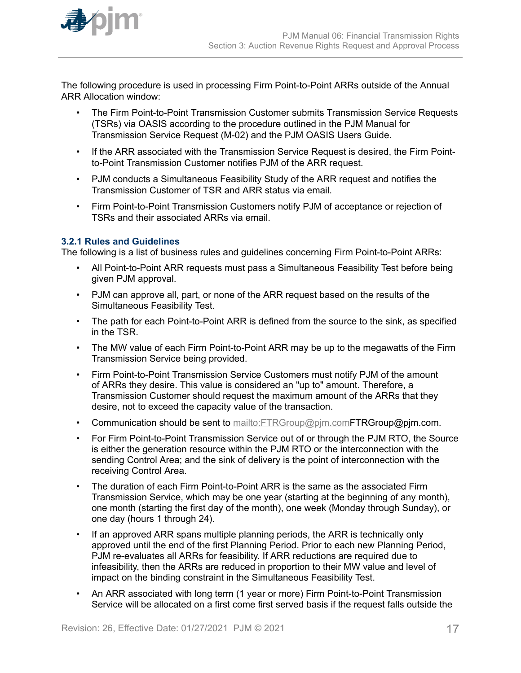<span id="page-16-0"></span>

The following procedure is used in processing Firm Point-to-Point ARRs outside of the Annual ARR Allocation window:

- The Firm Point-to-Point Transmission Customer submits Transmission Service Requests (TSRs) via OASIS according to the procedure outlined in the PJM Manual for Transmission Service Request (M-02) and the PJM OASIS Users Guide.
- If the ARR associated with the Transmission Service Request is desired, the Firm Pointto-Point Transmission Customer notifies PJM of the ARR request.
- PJM conducts a Simultaneous Feasibility Study of the ARR request and notifies the Transmission Customer of TSR and ARR status via email.
- Firm Point-to-Point Transmission Customers notify PJM of acceptance or rejection of TSRs and their associated ARRs via email.

#### **3.2.1 Rules and Guidelines**

The following is a list of business rules and guidelines concerning Firm Point-to-Point ARRs:

- All Point-to-Point ARR requests must pass a Simultaneous Feasibility Test before being given PJM approval.
- PJM can approve all, part, or none of the ARR request based on the results of the Simultaneous Feasibility Test.
- The path for each Point-to-Point ARR is defined from the source to the sink, as specified in the TSR.
- The MW value of each Firm Point-to-Point ARR may be up to the megawatts of the Firm Transmission Service being provided.
- Firm Point-to-Point Transmission Service Customers must notify PJM of the amount of ARRs they desire. This value is considered an "up to" amount. Therefore, a Transmission Customer should request the maximum amount of the ARRs that they desire, not to exceed the capacity value of the transaction.
- Communication should be sent to mailto: FTRGroup@pim.com FTRGroup@pim.com.
- For Firm Point-to-Point Transmission Service out of or through the PJM RTO, the Source is either the generation resource within the PJM RTO or the interconnection with the sending Control Area; and the sink of delivery is the point of interconnection with the receiving Control Area.
- The duration of each Firm Point-to-Point ARR is the same as the associated Firm Transmission Service, which may be one year (starting at the beginning of any month), one month (starting the first day of the month), one week (Monday through Sunday), or one day (hours 1 through 24).
- If an approved ARR spans multiple planning periods, the ARR is technically only approved until the end of the first Planning Period. Prior to each new Planning Period, PJM re-evaluates all ARRs for feasibility. If ARR reductions are required due to infeasibility, then the ARRs are reduced in proportion to their MW value and level of impact on the binding constraint in the Simultaneous Feasibility Test.
- An ARR associated with long term (1 year or more) Firm Point-to-Point Transmission Service will be allocated on a first come first served basis if the request falls outside the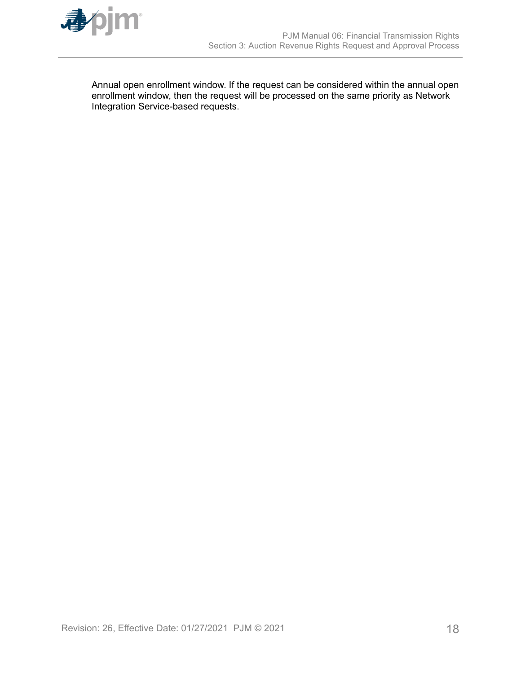

Annual open enrollment window. If the request can be considered within the annual open enrollment window, then the request will be processed on the same priority as Network Integration Service-based requests.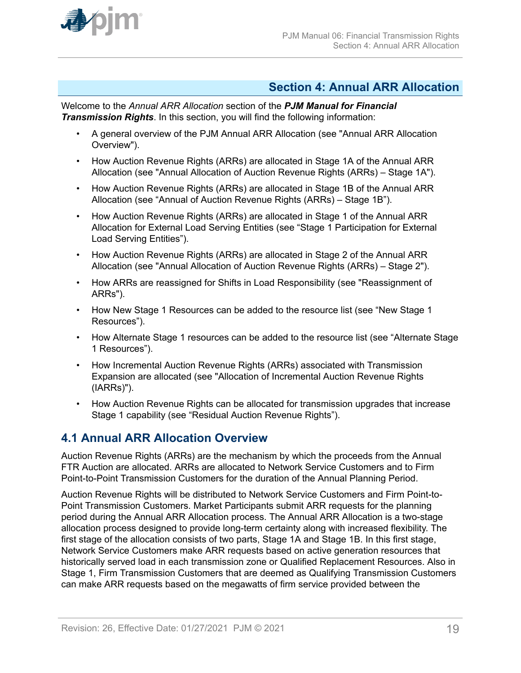<span id="page-18-0"></span>

### **Section 4: Annual ARR Allocation**

Welcome to the *Annual ARR Allocation* section of the *PJM Manual for Financial Transmission Rights*. In this section, you will find the following information:

- A general overview of the PJM Annual ARR Allocation (see "Annual ARR Allocation Overview").
- How Auction Revenue Rights (ARRs) are allocated in Stage 1A of the Annual ARR Allocation (see "Annual Allocation of Auction Revenue Rights (ARRs) – Stage 1A").
- How Auction Revenue Rights (ARRs) are allocated in Stage 1B of the Annual ARR Allocation (see "Annual of Auction Revenue Rights (ARRs) – Stage 1B").
- How Auction Revenue Rights (ARRs) are allocated in Stage 1 of the Annual ARR Allocation for External Load Serving Entities (see "Stage 1 Participation for External Load Serving Entities").
- How Auction Revenue Rights (ARRs) are allocated in Stage 2 of the Annual ARR Allocation (see "Annual Allocation of Auction Revenue Rights (ARRs) – Stage 2").
- How ARRs are reassigned for Shifts in Load Responsibility (see "Reassignment of ARRs").
- How New Stage 1 Resources can be added to the resource list (see "New Stage 1 Resources").
- How Alternate Stage 1 resources can be added to the resource list (see "Alternate Stage 1 Resources").
- How Incremental Auction Revenue Rights (ARRs) associated with Transmission Expansion are allocated (see "Allocation of Incremental Auction Revenue Rights (IARRs)").
- How Auction Revenue Rights can be allocated for transmission upgrades that increase Stage 1 capability (see "Residual Auction Revenue Rights").

### **4.1 Annual ARR Allocation Overview**

Auction Revenue Rights (ARRs) are the mechanism by which the proceeds from the Annual FTR Auction are allocated. ARRs are allocated to Network Service Customers and to Firm Point-to-Point Transmission Customers for the duration of the Annual Planning Period.

Auction Revenue Rights will be distributed to Network Service Customers and Firm Point-to-Point Transmission Customers. Market Participants submit ARR requests for the planning period during the Annual ARR Allocation process. The Annual ARR Allocation is a two-stage allocation process designed to provide long-term certainty along with increased flexibility. The first stage of the allocation consists of two parts, Stage 1A and Stage 1B. In this first stage, Network Service Customers make ARR requests based on active generation resources that historically served load in each transmission zone or Qualified Replacement Resources. Also in Stage 1, Firm Transmission Customers that are deemed as Qualifying Transmission Customers can make ARR requests based on the megawatts of firm service provided between the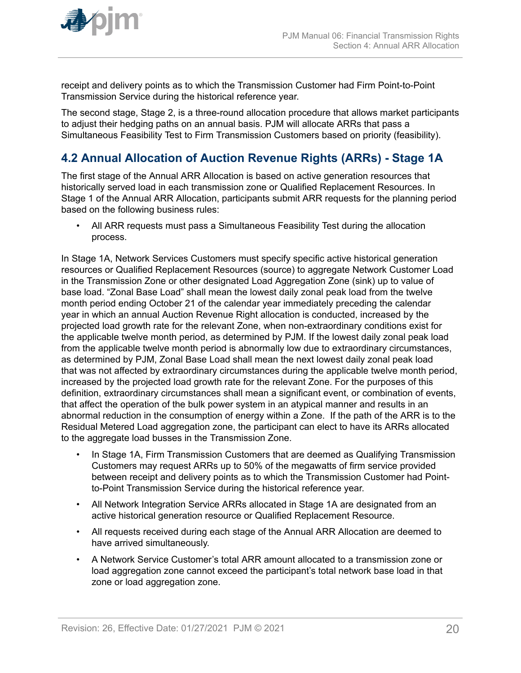<span id="page-19-0"></span>

receipt and delivery points as to which the Transmission Customer had Firm Point-to-Point Transmission Service during the historical reference year.

The second stage, Stage 2, is a three-round allocation procedure that allows market participants to adjust their hedging paths on an annual basis. PJM will allocate ARRs that pass a Simultaneous Feasibility Test to Firm Transmission Customers based on priority (feasibility).

# **4.2 Annual Allocation of Auction Revenue Rights (ARRs) - Stage 1A**

The first stage of the Annual ARR Allocation is based on active generation resources that historically served load in each transmission zone or Qualified Replacement Resources. In Stage 1 of the Annual ARR Allocation, participants submit ARR requests for the planning period based on the following business rules:

• All ARR requests must pass a Simultaneous Feasibility Test during the allocation process.

In Stage 1A, Network Services Customers must specify specific active historical generation resources or Qualified Replacement Resources (source) to aggregate Network Customer Load in the Transmission Zone or other designated Load Aggregation Zone (sink) up to value of base load. "Zonal Base Load" shall mean the lowest daily zonal peak load from the twelve month period ending October 21 of the calendar year immediately preceding the calendar year in which an annual Auction Revenue Right allocation is conducted, increased by the projected load growth rate for the relevant Zone, when non-extraordinary conditions exist for the applicable twelve month period, as determined by PJM. If the lowest daily zonal peak load from the applicable twelve month period is abnormally low due to extraordinary circumstances, as determined by PJM, Zonal Base Load shall mean the next lowest daily zonal peak load that was not affected by extraordinary circumstances during the applicable twelve month period, increased by the projected load growth rate for the relevant Zone. For the purposes of this definition, extraordinary circumstances shall mean a significant event, or combination of events, that affect the operation of the bulk power system in an atypical manner and results in an abnormal reduction in the consumption of energy within a Zone. If the path of the ARR is to the Residual Metered Load aggregation zone, the participant can elect to have its ARRs allocated to the aggregate load busses in the Transmission Zone.

- In Stage 1A, Firm Transmission Customers that are deemed as Qualifying Transmission Customers may request ARRs up to 50% of the megawatts of firm service provided between receipt and delivery points as to which the Transmission Customer had Pointto-Point Transmission Service during the historical reference year.
- All Network Integration Service ARRs allocated in Stage 1A are designated from an active historical generation resource or Qualified Replacement Resource.
- All requests received during each stage of the Annual ARR Allocation are deemed to have arrived simultaneously.
- A Network Service Customer's total ARR amount allocated to a transmission zone or load aggregation zone cannot exceed the participant's total network base load in that zone or load aggregation zone.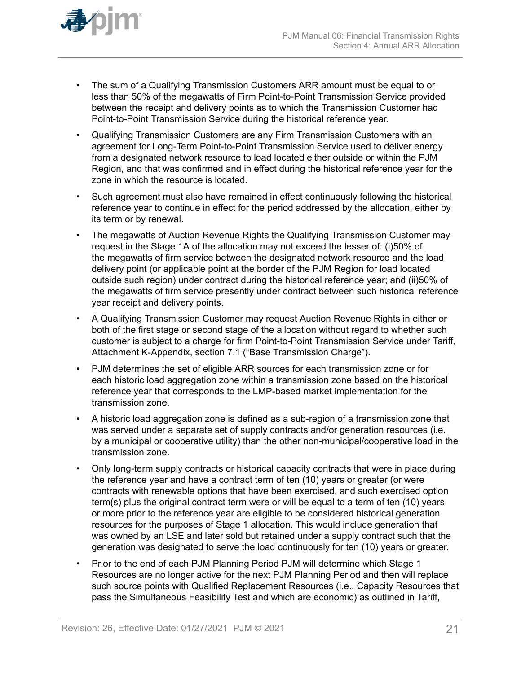

- The sum of a Qualifying Transmission Customers ARR amount must be equal to or less than 50% of the megawatts of Firm Point-to-Point Transmission Service provided between the receipt and delivery points as to which the Transmission Customer had Point-to-Point Transmission Service during the historical reference year.
- Qualifying Transmission Customers are any Firm Transmission Customers with an agreement for Long-Term Point-to-Point Transmission Service used to deliver energy from a designated network resource to load located either outside or within the PJM Region, and that was confirmed and in effect during the historical reference year for the zone in which the resource is located.
- Such agreement must also have remained in effect continuously following the historical reference year to continue in effect for the period addressed by the allocation, either by its term or by renewal.
- The megawatts of Auction Revenue Rights the Qualifying Transmission Customer may request in the Stage 1A of the allocation may not exceed the lesser of: (i)50% of the megawatts of firm service between the designated network resource and the load delivery point (or applicable point at the border of the PJM Region for load located outside such region) under contract during the historical reference year; and (ii)50% of the megawatts of firm service presently under contract between such historical reference year receipt and delivery points.
- A Qualifying Transmission Customer may request Auction Revenue Rights in either or both of the first stage or second stage of the allocation without regard to whether such customer is subject to a charge for firm Point-to-Point Transmission Service under Tariff, Attachment K-Appendix, section 7.1 ("Base Transmission Charge").
- PJM determines the set of eligible ARR sources for each transmission zone or for each historic load aggregation zone within a transmission zone based on the historical reference year that corresponds to the LMP-based market implementation for the transmission zone.
- A historic load aggregation zone is defined as a sub-region of a transmission zone that was served under a separate set of supply contracts and/or generation resources (i.e. by a municipal or cooperative utility) than the other non-municipal/cooperative load in the transmission zone.
- Only long-term supply contracts or historical capacity contracts that were in place during the reference year and have a contract term of ten (10) years or greater (or were contracts with renewable options that have been exercised, and such exercised option term(s) plus the original contract term were or will be equal to a term of ten (10) years or more prior to the reference year are eligible to be considered historical generation resources for the purposes of Stage 1 allocation. This would include generation that was owned by an LSE and later sold but retained under a supply contract such that the generation was designated to serve the load continuously for ten (10) years or greater.
- Prior to the end of each PJM Planning Period PJM will determine which Stage 1 Resources are no longer active for the next PJM Planning Period and then will replace such source points with Qualified Replacement Resources (i.e., Capacity Resources that pass the Simultaneous Feasibility Test and which are economic) as outlined in Tariff,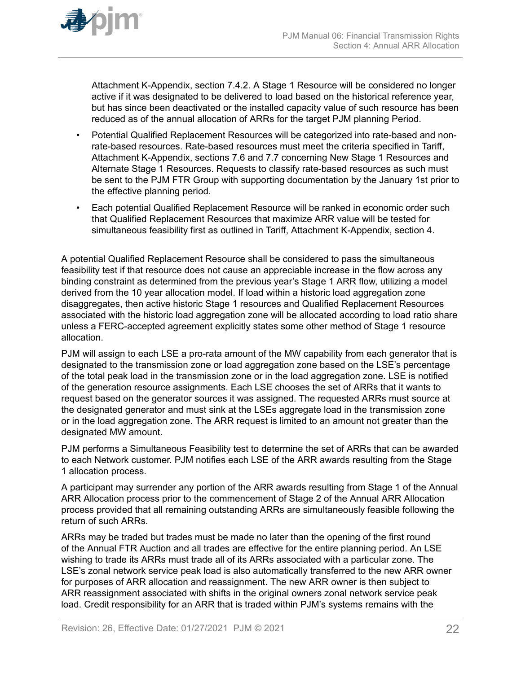

Attachment K-Appendix, section 7.4.2. A Stage 1 Resource will be considered no longer active if it was designated to be delivered to load based on the historical reference year, but has since been deactivated or the installed capacity value of such resource has been reduced as of the annual allocation of ARRs for the target PJM planning Period.

- Potential Qualified Replacement Resources will be categorized into rate-based and nonrate-based resources. Rate-based resources must meet the criteria specified in Tariff, Attachment K-Appendix, sections 7.6 and 7.7 concerning New Stage 1 Resources and Alternate Stage 1 Resources. Requests to classify rate-based resources as such must be sent to the PJM FTR Group with supporting documentation by the January 1st prior to the effective planning period.
- Each potential Qualified Replacement Resource will be ranked in economic order such that Qualified Replacement Resources that maximize ARR value will be tested for simultaneous feasibility first as outlined in Tariff, Attachment K-Appendix, section 4.

A potential Qualified Replacement Resource shall be considered to pass the simultaneous feasibility test if that resource does not cause an appreciable increase in the flow across any binding constraint as determined from the previous year's Stage 1 ARR flow, utilizing a model derived from the 10 year allocation model. If load within a historic load aggregation zone disaggregates, then active historic Stage 1 resources and Qualified Replacement Resources associated with the historic load aggregation zone will be allocated according to load ratio share unless a FERC-accepted agreement explicitly states some other method of Stage 1 resource allocation.

PJM will assign to each LSE a pro-rata amount of the MW capability from each generator that is designated to the transmission zone or load aggregation zone based on the LSE's percentage of the total peak load in the transmission zone or in the load aggregation zone. LSE is notified of the generation resource assignments. Each LSE chooses the set of ARRs that it wants to request based on the generator sources it was assigned. The requested ARRs must source at the designated generator and must sink at the LSEs aggregate load in the transmission zone or in the load aggregation zone. The ARR request is limited to an amount not greater than the designated MW amount.

PJM performs a Simultaneous Feasibility test to determine the set of ARRs that can be awarded to each Network customer. PJM notifies each LSE of the ARR awards resulting from the Stage 1 allocation process.

A participant may surrender any portion of the ARR awards resulting from Stage 1 of the Annual ARR Allocation process prior to the commencement of Stage 2 of the Annual ARR Allocation process provided that all remaining outstanding ARRs are simultaneously feasible following the return of such ARRs.

ARRs may be traded but trades must be made no later than the opening of the first round of the Annual FTR Auction and all trades are effective for the entire planning period. An LSE wishing to trade its ARRs must trade all of its ARRs associated with a particular zone. The LSE's zonal network service peak load is also automatically transferred to the new ARR owner for purposes of ARR allocation and reassignment. The new ARR owner is then subject to ARR reassignment associated with shifts in the original owners zonal network service peak load. Credit responsibility for an ARR that is traded within PJM's systems remains with the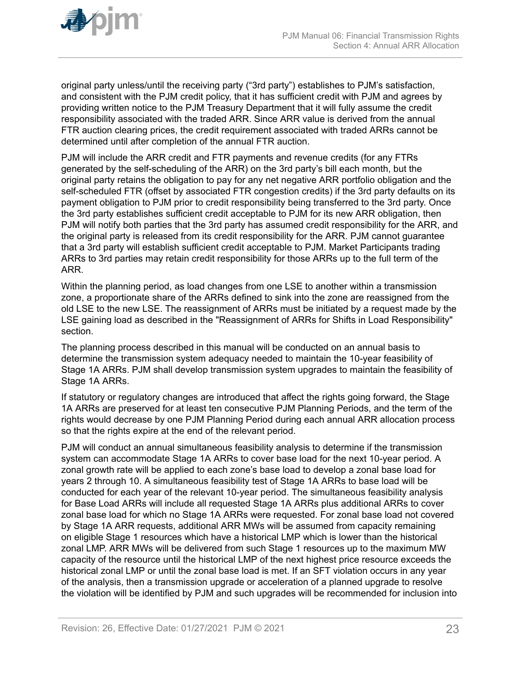original party unless/until the receiving party ("3rd party") establishes to PJM's satisfaction, and consistent with the PJM credit policy, that it has sufficient credit with PJM and agrees by providing written notice to the PJM Treasury Department that it will fully assume the credit responsibility associated with the traded ARR. Since ARR value is derived from the annual FTR auction clearing prices, the credit requirement associated with traded ARRs cannot be determined until after completion of the annual FTR auction.

PJM will include the ARR credit and FTR payments and revenue credits (for any FTRs generated by the self-scheduling of the ARR) on the 3rd party's bill each month, but the original party retains the obligation to pay for any net negative ARR portfolio obligation and the self-scheduled FTR (offset by associated FTR congestion credits) if the 3rd party defaults on its payment obligation to PJM prior to credit responsibility being transferred to the 3rd party. Once the 3rd party establishes sufficient credit acceptable to PJM for its new ARR obligation, then PJM will notify both parties that the 3rd party has assumed credit responsibility for the ARR, and the original party is released from its credit responsibility for the ARR. PJM cannot guarantee that a 3rd party will establish sufficient credit acceptable to PJM. Market Participants trading ARRs to 3rd parties may retain credit responsibility for those ARRs up to the full term of the ARR.

Within the planning period, as load changes from one LSE to another within a transmission zone, a proportionate share of the ARRs defined to sink into the zone are reassigned from the old LSE to the new LSE. The reassignment of ARRs must be initiated by a request made by the LSE gaining load as described in the "Reassignment of ARRs for Shifts in Load Responsibility" section.

The planning process described in this manual will be conducted on an annual basis to determine the transmission system adequacy needed to maintain the 10-year feasibility of Stage 1A ARRs. PJM shall develop transmission system upgrades to maintain the feasibility of Stage 1A ARRs.

If statutory or regulatory changes are introduced that affect the rights going forward, the Stage 1A ARRs are preserved for at least ten consecutive PJM Planning Periods, and the term of the rights would decrease by one PJM Planning Period during each annual ARR allocation process so that the rights expire at the end of the relevant period.

PJM will conduct an annual simultaneous feasibility analysis to determine if the transmission system can accommodate Stage 1A ARRs to cover base load for the next 10-year period. A zonal growth rate will be applied to each zone's base load to develop a zonal base load for years 2 through 10. A simultaneous feasibility test of Stage 1A ARRs to base load will be conducted for each year of the relevant 10-year period. The simultaneous feasibility analysis for Base Load ARRs will include all requested Stage 1A ARRs plus additional ARRs to cover zonal base load for which no Stage 1A ARRs were requested. For zonal base load not covered by Stage 1A ARR requests, additional ARR MWs will be assumed from capacity remaining on eligible Stage 1 resources which have a historical LMP which is lower than the historical zonal LMP. ARR MWs will be delivered from such Stage 1 resources up to the maximum MW capacity of the resource until the historical LMP of the next highest price resource exceeds the historical zonal LMP or until the zonal base load is met. If an SFT violation occurs in any year of the analysis, then a transmission upgrade or acceleration of a planned upgrade to resolve the violation will be identified by PJM and such upgrades will be recommended for inclusion into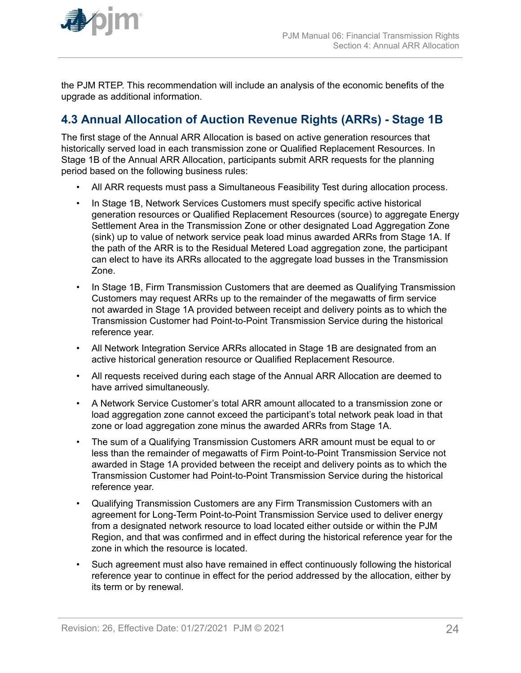<span id="page-23-0"></span>

the PJM RTEP. This recommendation will include an analysis of the economic benefits of the upgrade as additional information.

# **4.3 Annual Allocation of Auction Revenue Rights (ARRs) - Stage 1B**

The first stage of the Annual ARR Allocation is based on active generation resources that historically served load in each transmission zone or Qualified Replacement Resources. In Stage 1B of the Annual ARR Allocation, participants submit ARR requests for the planning period based on the following business rules:

- All ARR requests must pass a Simultaneous Feasibility Test during allocation process.
- In Stage 1B, Network Services Customers must specify specific active historical generation resources or Qualified Replacement Resources (source) to aggregate Energy Settlement Area in the Transmission Zone or other designated Load Aggregation Zone (sink) up to value of network service peak load minus awarded ARRs from Stage 1A. If the path of the ARR is to the Residual Metered Load aggregation zone, the participant can elect to have its ARRs allocated to the aggregate load busses in the Transmission Zone.
- In Stage 1B, Firm Transmission Customers that are deemed as Qualifying Transmission Customers may request ARRs up to the remainder of the megawatts of firm service not awarded in Stage 1A provided between receipt and delivery points as to which the Transmission Customer had Point-to-Point Transmission Service during the historical reference year.
- All Network Integration Service ARRs allocated in Stage 1B are designated from an active historical generation resource or Qualified Replacement Resource.
- All requests received during each stage of the Annual ARR Allocation are deemed to have arrived simultaneously.
- A Network Service Customer's total ARR amount allocated to a transmission zone or load aggregation zone cannot exceed the participant's total network peak load in that zone or load aggregation zone minus the awarded ARRs from Stage 1A.
- The sum of a Qualifying Transmission Customers ARR amount must be equal to or less than the remainder of megawatts of Firm Point-to-Point Transmission Service not awarded in Stage 1A provided between the receipt and delivery points as to which the Transmission Customer had Point-to-Point Transmission Service during the historical reference year.
- Qualifying Transmission Customers are any Firm Transmission Customers with an agreement for Long-Term Point-to-Point Transmission Service used to deliver energy from a designated network resource to load located either outside or within the PJM Region, and that was confirmed and in effect during the historical reference year for the zone in which the resource is located.
- Such agreement must also have remained in effect continuously following the historical reference year to continue in effect for the period addressed by the allocation, either by its term or by renewal.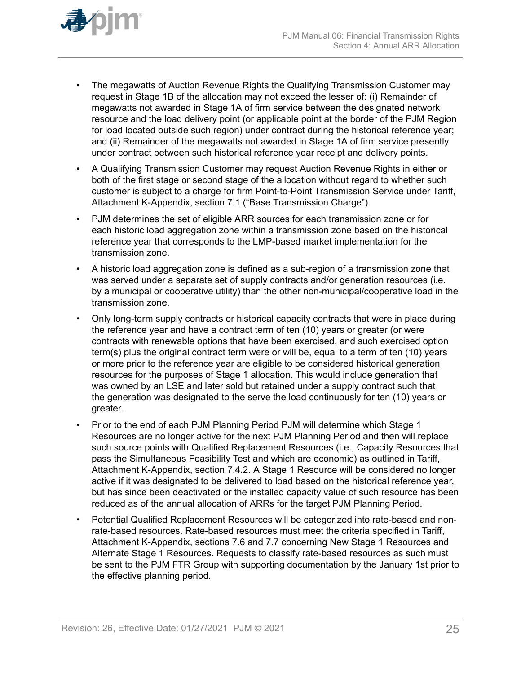

- The megawatts of Auction Revenue Rights the Qualifying Transmission Customer may request in Stage 1B of the allocation may not exceed the lesser of: (i) Remainder of megawatts not awarded in Stage 1A of firm service between the designated network resource and the load delivery point (or applicable point at the border of the PJM Region for load located outside such region) under contract during the historical reference year; and (ii) Remainder of the megawatts not awarded in Stage 1A of firm service presently under contract between such historical reference year receipt and delivery points.
- A Qualifying Transmission Customer may request Auction Revenue Rights in either or both of the first stage or second stage of the allocation without regard to whether such customer is subject to a charge for firm Point-to-Point Transmission Service under Tariff, Attachment K-Appendix, section 7.1 ("Base Transmission Charge").
- PJM determines the set of eligible ARR sources for each transmission zone or for each historic load aggregation zone within a transmission zone based on the historical reference year that corresponds to the LMP-based market implementation for the transmission zone.
- A historic load aggregation zone is defined as a sub-region of a transmission zone that was served under a separate set of supply contracts and/or generation resources (i.e. by a municipal or cooperative utility) than the other non-municipal/cooperative load in the transmission zone.
- Only long-term supply contracts or historical capacity contracts that were in place during the reference year and have a contract term of ten (10) years or greater (or were contracts with renewable options that have been exercised, and such exercised option term(s) plus the original contract term were or will be, equal to a term of ten (10) years or more prior to the reference year are eligible to be considered historical generation resources for the purposes of Stage 1 allocation. This would include generation that was owned by an LSE and later sold but retained under a supply contract such that the generation was designated to the serve the load continuously for ten (10) years or greater.
- Prior to the end of each PJM Planning Period PJM will determine which Stage 1 Resources are no longer active for the next PJM Planning Period and then will replace such source points with Qualified Replacement Resources (i.e., Capacity Resources that pass the Simultaneous Feasibility Test and which are economic) as outlined in Tariff, Attachment K-Appendix, section 7.4.2. A Stage 1 Resource will be considered no longer active if it was designated to be delivered to load based on the historical reference year, but has since been deactivated or the installed capacity value of such resource has been reduced as of the annual allocation of ARRs for the target PJM Planning Period.
- Potential Qualified Replacement Resources will be categorized into rate-based and nonrate-based resources. Rate-based resources must meet the criteria specified in Tariff, Attachment K-Appendix, sections 7.6 and 7.7 concerning New Stage 1 Resources and Alternate Stage 1 Resources. Requests to classify rate-based resources as such must be sent to the PJM FTR Group with supporting documentation by the January 1st prior to the effective planning period.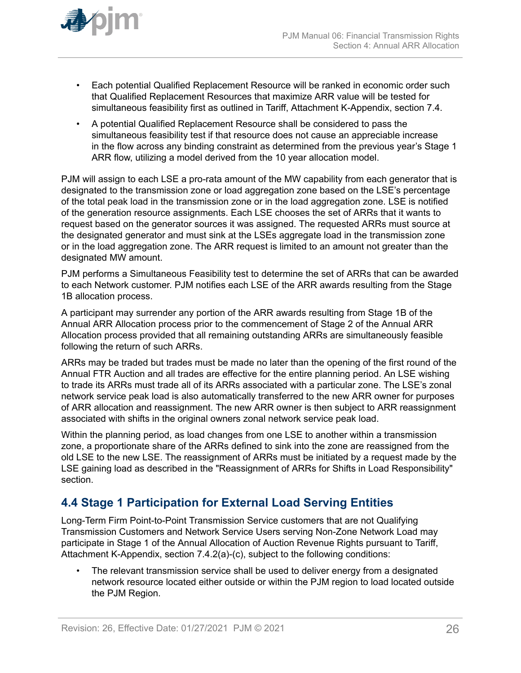<span id="page-25-0"></span>

- Each potential Qualified Replacement Resource will be ranked in economic order such that Qualified Replacement Resources that maximize ARR value will be tested for simultaneous feasibility first as outlined in Tariff, Attachment K-Appendix, section 7.4.
- A potential Qualified Replacement Resource shall be considered to pass the simultaneous feasibility test if that resource does not cause an appreciable increase in the flow across any binding constraint as determined from the previous year's Stage 1 ARR flow, utilizing a model derived from the 10 year allocation model.

PJM will assign to each LSE a pro-rata amount of the MW capability from each generator that is designated to the transmission zone or load aggregation zone based on the LSE's percentage of the total peak load in the transmission zone or in the load aggregation zone. LSE is notified of the generation resource assignments. Each LSE chooses the set of ARRs that it wants to request based on the generator sources it was assigned. The requested ARRs must source at the designated generator and must sink at the LSEs aggregate load in the transmission zone or in the load aggregation zone. The ARR request is limited to an amount not greater than the designated MW amount.

PJM performs a Simultaneous Feasibility test to determine the set of ARRs that can be awarded to each Network customer. PJM notifies each LSE of the ARR awards resulting from the Stage 1B allocation process.

A participant may surrender any portion of the ARR awards resulting from Stage 1B of the Annual ARR Allocation process prior to the commencement of Stage 2 of the Annual ARR Allocation process provided that all remaining outstanding ARRs are simultaneously feasible following the return of such ARRs.

ARRs may be traded but trades must be made no later than the opening of the first round of the Annual FTR Auction and all trades are effective for the entire planning period. An LSE wishing to trade its ARRs must trade all of its ARRs associated with a particular zone. The LSE's zonal network service peak load is also automatically transferred to the new ARR owner for purposes of ARR allocation and reassignment. The new ARR owner is then subject to ARR reassignment associated with shifts in the original owners zonal network service peak load.

Within the planning period, as load changes from one LSE to another within a transmission zone, a proportionate share of the ARRs defined to sink into the zone are reassigned from the old LSE to the new LSE. The reassignment of ARRs must be initiated by a request made by the LSE gaining load as described in the "Reassignment of ARRs for Shifts in Load Responsibility" section.

# **4.4 Stage 1 Participation for External Load Serving Entities**

Long-Term Firm Point-to-Point Transmission Service customers that are not Qualifying Transmission Customers and Network Service Users serving Non-Zone Network Load may participate in Stage 1 of the Annual Allocation of Auction Revenue Rights pursuant to Tariff, Attachment K-Appendix, section 7.4.2(a)-(c), subject to the following conditions:

The relevant transmission service shall be used to deliver energy from a designated network resource located either outside or within the PJM region to load located outside the PJM Region.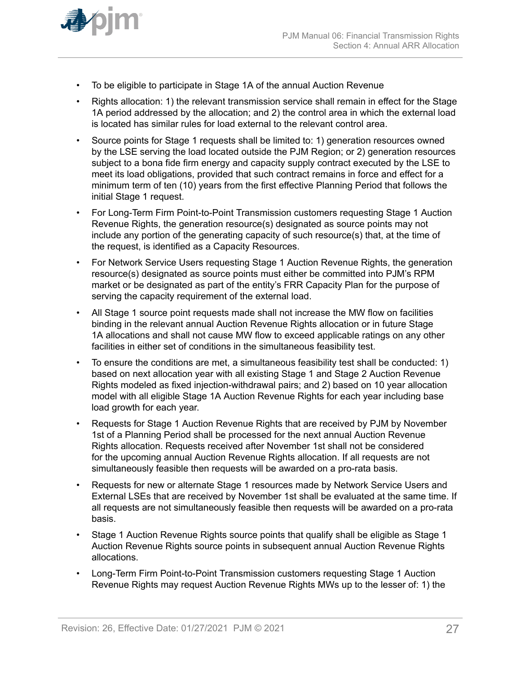

- To be eligible to participate in Stage 1A of the annual Auction Revenue
- Rights allocation: 1) the relevant transmission service shall remain in effect for the Stage 1A period addressed by the allocation; and 2) the control area in which the external load is located has similar rules for load external to the relevant control area.
- Source points for Stage 1 requests shall be limited to: 1) generation resources owned by the LSE serving the load located outside the PJM Region; or 2) generation resources subject to a bona fide firm energy and capacity supply contract executed by the LSE to meet its load obligations, provided that such contract remains in force and effect for a minimum term of ten (10) years from the first effective Planning Period that follows the initial Stage 1 request.
- For Long-Term Firm Point-to-Point Transmission customers requesting Stage 1 Auction Revenue Rights, the generation resource(s) designated as source points may not include any portion of the generating capacity of such resource(s) that, at the time of the request, is identified as a Capacity Resources.
- For Network Service Users requesting Stage 1 Auction Revenue Rights, the generation resource(s) designated as source points must either be committed into PJM's RPM market or be designated as part of the entity's FRR Capacity Plan for the purpose of serving the capacity requirement of the external load.
- All Stage 1 source point requests made shall not increase the MW flow on facilities binding in the relevant annual Auction Revenue Rights allocation or in future Stage 1A allocations and shall not cause MW flow to exceed applicable ratings on any other facilities in either set of conditions in the simultaneous feasibility test.
- To ensure the conditions are met, a simultaneous feasibility test shall be conducted: 1) based on next allocation year with all existing Stage 1 and Stage 2 Auction Revenue Rights modeled as fixed injection-withdrawal pairs; and 2) based on 10 year allocation model with all eligible Stage 1A Auction Revenue Rights for each year including base load growth for each year.
- Requests for Stage 1 Auction Revenue Rights that are received by PJM by November 1st of a Planning Period shall be processed for the next annual Auction Revenue Rights allocation. Requests received after November 1st shall not be considered for the upcoming annual Auction Revenue Rights allocation. If all requests are not simultaneously feasible then requests will be awarded on a pro-rata basis.
- Requests for new or alternate Stage 1 resources made by Network Service Users and External LSEs that are received by November 1st shall be evaluated at the same time. If all requests are not simultaneously feasible then requests will be awarded on a pro-rata basis.
- Stage 1 Auction Revenue Rights source points that qualify shall be eligible as Stage 1 Auction Revenue Rights source points in subsequent annual Auction Revenue Rights allocations.
- Long-Term Firm Point-to-Point Transmission customers requesting Stage 1 Auction Revenue Rights may request Auction Revenue Rights MWs up to the lesser of: 1) the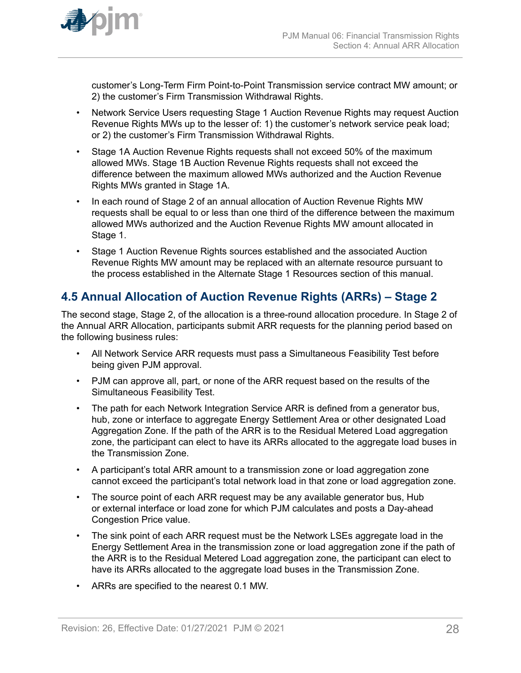<span id="page-27-0"></span>

customer's Long-Term Firm Point-to-Point Transmission service contract MW amount; or 2) the customer's Firm Transmission Withdrawal Rights.

- Network Service Users requesting Stage 1 Auction Revenue Rights may request Auction Revenue Rights MWs up to the lesser of: 1) the customer's network service peak load; or 2) the customer's Firm Transmission Withdrawal Rights.
- Stage 1A Auction Revenue Rights requests shall not exceed 50% of the maximum allowed MWs. Stage 1B Auction Revenue Rights requests shall not exceed the difference between the maximum allowed MWs authorized and the Auction Revenue Rights MWs granted in Stage 1A.
- In each round of Stage 2 of an annual allocation of Auction Revenue Rights MW requests shall be equal to or less than one third of the difference between the maximum allowed MWs authorized and the Auction Revenue Rights MW amount allocated in Stage 1.
- Stage 1 Auction Revenue Rights sources established and the associated Auction Revenue Rights MW amount may be replaced with an alternate resource pursuant to the process established in the Alternate Stage 1 Resources section of this manual.

# **4.5 Annual Allocation of Auction Revenue Rights (ARRs) – Stage 2**

The second stage, Stage 2, of the allocation is a three-round allocation procedure. In Stage 2 of the Annual ARR Allocation, participants submit ARR requests for the planning period based on the following business rules:

- All Network Service ARR requests must pass a Simultaneous Feasibility Test before being given PJM approval.
- PJM can approve all, part, or none of the ARR request based on the results of the Simultaneous Feasibility Test.
- The path for each Network Integration Service ARR is defined from a generator bus, hub, zone or interface to aggregate Energy Settlement Area or other designated Load Aggregation Zone. If the path of the ARR is to the Residual Metered Load aggregation zone, the participant can elect to have its ARRs allocated to the aggregate load buses in the Transmission Zone.
- A participant's total ARR amount to a transmission zone or load aggregation zone cannot exceed the participant's total network load in that zone or load aggregation zone.
- The source point of each ARR request may be any available generator bus, Hub or external interface or load zone for which PJM calculates and posts a Day-ahead Congestion Price value.
- The sink point of each ARR request must be the Network LSEs aggregate load in the Energy Settlement Area in the transmission zone or load aggregation zone if the path of the ARR is to the Residual Metered Load aggregation zone, the participant can elect to have its ARRs allocated to the aggregate load buses in the Transmission Zone.
- ARRs are specified to the nearest 0.1 MW.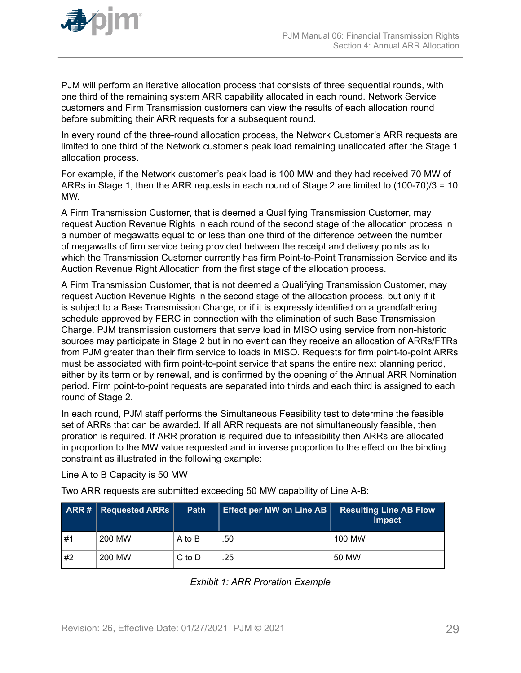<span id="page-28-0"></span>

PJM will perform an iterative allocation process that consists of three sequential rounds, with one third of the remaining system ARR capability allocated in each round. Network Service customers and Firm Transmission customers can view the results of each allocation round before submitting their ARR requests for a subsequent round.

In every round of the three-round allocation process, the Network Customer's ARR requests are limited to one third of the Network customer's peak load remaining unallocated after the Stage 1 allocation process.

For example, if the Network customer's peak load is 100 MW and they had received 70 MW of ARRs in Stage 1, then the ARR requests in each round of Stage 2 are limited to (100-70)/3 = 10 MW.

A Firm Transmission Customer, that is deemed a Qualifying Transmission Customer, may request Auction Revenue Rights in each round of the second stage of the allocation process in a number of megawatts equal to or less than one third of the difference between the number of megawatts of firm service being provided between the receipt and delivery points as to which the Transmission Customer currently has firm Point-to-Point Transmission Service and its Auction Revenue Right Allocation from the first stage of the allocation process.

A Firm Transmission Customer, that is not deemed a Qualifying Transmission Customer, may request Auction Revenue Rights in the second stage of the allocation process, but only if it is subject to a Base Transmission Charge, or if it is expressly identified on a grandfathering schedule approved by FERC in connection with the elimination of such Base Transmission Charge. PJM transmission customers that serve load in MISO using service from non-historic sources may participate in Stage 2 but in no event can they receive an allocation of ARRs/FTRs from PJM greater than their firm service to loads in MISO. Requests for firm point-to-point ARRs must be associated with firm point-to-point service that spans the entire next planning period, either by its term or by renewal, and is confirmed by the opening of the Annual ARR Nomination period. Firm point-to-point requests are separated into thirds and each third is assigned to each round of Stage 2.

In each round, PJM staff performs the Simultaneous Feasibility test to determine the feasible set of ARRs that can be awarded. If all ARR requests are not simultaneously feasible, then proration is required. If ARR proration is required due to infeasibility then ARRs are allocated in proportion to the MW value requested and in inverse proportion to the effect on the binding constraint as illustrated in the following example:

Line A to B Capacity is 50 MW

Two ARR requests are submitted exceeding 50 MW capability of Line A-B:

|    | <b>ARR #   Requested ARRs  </b> | Path       | <b>Effect per MW on Line AB</b> | <b>Resulting Line AB Flow</b><br><b>Impact</b> |
|----|---------------------------------|------------|---------------------------------|------------------------------------------------|
| #1 | 200 MW                          | A to B     | .50                             | 100 MW                                         |
| #2 | 200 MW                          | $C$ to $D$ | .25                             | 50 MW                                          |

|  |  | <b>Exhibit 1: ARR Proration Example</b> |  |
|--|--|-----------------------------------------|--|
|--|--|-----------------------------------------|--|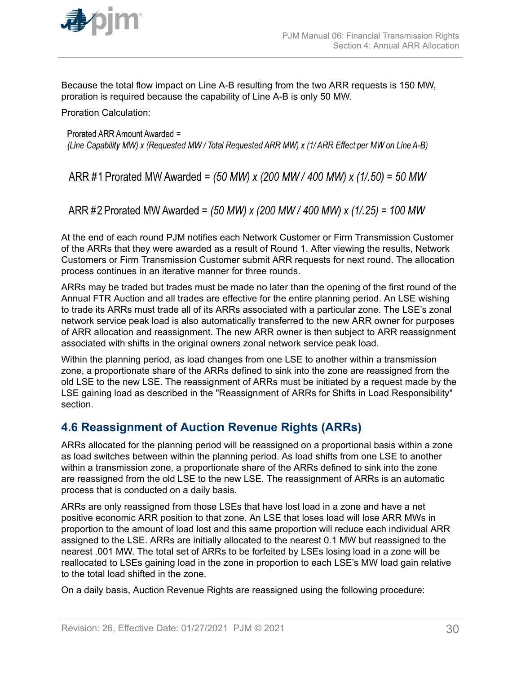<span id="page-29-0"></span>

Because the total flow impact on Line A-B resulting from the two ARR requests is 150 MW, proration is required because the capability of Line A-B is only 50 MW.

Proration Calculation:

Prorated ARR Amount Awarded = (Line Capability MW) x (Requested MW/Total Requested ARR MW) x (1/ARR Effect per MW on Line A-B)

ARR #1 Prorated MW Awarded = (50 MW) x (200 MW / 400 MW) x (1/.50) = 50 MW

ARR #2 Prorated MW Awarded = (50 MW) x (200 MW / 400 MW) x (1/.25) = 100 MW

At the end of each round PJM notifies each Network Customer or Firm Transmission Customer of the ARRs that they were awarded as a result of Round 1. After viewing the results, Network Customers or Firm Transmission Customer submit ARR requests for next round. The allocation process continues in an iterative manner for three rounds.

ARRs may be traded but trades must be made no later than the opening of the first round of the Annual FTR Auction and all trades are effective for the entire planning period. An LSE wishing to trade its ARRs must trade all of its ARRs associated with a particular zone. The LSE's zonal network service peak load is also automatically transferred to the new ARR owner for purposes of ARR allocation and reassignment. The new ARR owner is then subject to ARR reassignment associated with shifts in the original owners zonal network service peak load.

Within the planning period, as load changes from one LSE to another within a transmission zone, a proportionate share of the ARRs defined to sink into the zone are reassigned from the old LSE to the new LSE. The reassignment of ARRs must be initiated by a request made by the LSE gaining load as described in the "Reassignment of ARRs for Shifts in Load Responsibility" section.

# **4.6 Reassignment of Auction Revenue Rights (ARRs)**

ARRs allocated for the planning period will be reassigned on a proportional basis within a zone as load switches between within the planning period. As load shifts from one LSE to another within a transmission zone, a proportionate share of the ARRs defined to sink into the zone are reassigned from the old LSE to the new LSE. The reassignment of ARRs is an automatic process that is conducted on a daily basis.

ARRs are only reassigned from those LSEs that have lost load in a zone and have a net positive economic ARR position to that zone. An LSE that loses load will lose ARR MWs in proportion to the amount of load lost and this same proportion will reduce each individual ARR assigned to the LSE. ARRs are initially allocated to the nearest 0.1 MW but reassigned to the nearest .001 MW. The total set of ARRs to be forfeited by LSEs losing load in a zone will be reallocated to LSEs gaining load in the zone in proportion to each LSE's MW load gain relative to the total load shifted in the zone.

On a daily basis, Auction Revenue Rights are reassigned using the following procedure: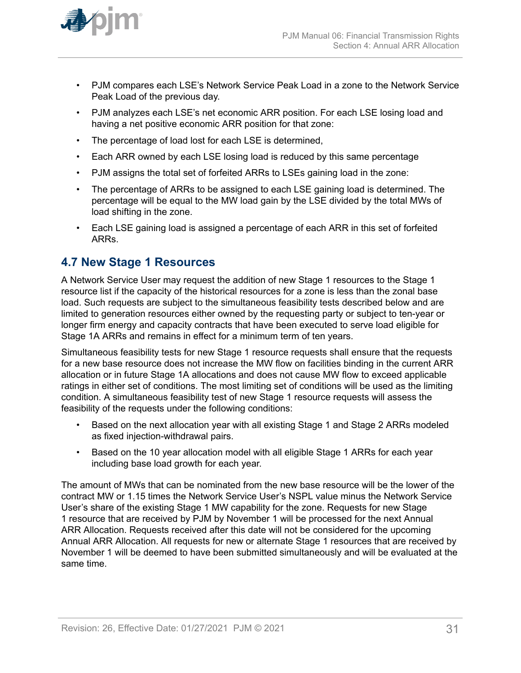<span id="page-30-0"></span>

- PJM compares each LSE's Network Service Peak Load in a zone to the Network Service Peak Load of the previous day.
- PJM analyzes each LSE's net economic ARR position. For each LSE losing load and having a net positive economic ARR position for that zone:
- The percentage of load lost for each LSE is determined,
- Each ARR owned by each LSE losing load is reduced by this same percentage
- PJM assigns the total set of forfeited ARRs to LSEs gaining load in the zone:
- The percentage of ARRs to be assigned to each LSE gaining load is determined. The percentage will be equal to the MW load gain by the LSE divided by the total MWs of load shifting in the zone.
- Each LSE gaining load is assigned a percentage of each ARR in this set of forfeited ARRs.

### **4.7 New Stage 1 Resources**

A Network Service User may request the addition of new Stage 1 resources to the Stage 1 resource list if the capacity of the historical resources for a zone is less than the zonal base load. Such requests are subject to the simultaneous feasibility tests described below and are limited to generation resources either owned by the requesting party or subject to ten-year or longer firm energy and capacity contracts that have been executed to serve load eligible for Stage 1A ARRs and remains in effect for a minimum term of ten years.

Simultaneous feasibility tests for new Stage 1 resource requests shall ensure that the requests for a new base resource does not increase the MW flow on facilities binding in the current ARR allocation or in future Stage 1A allocations and does not cause MW flow to exceed applicable ratings in either set of conditions. The most limiting set of conditions will be used as the limiting condition. A simultaneous feasibility test of new Stage 1 resource requests will assess the feasibility of the requests under the following conditions:

- Based on the next allocation year with all existing Stage 1 and Stage 2 ARRs modeled as fixed injection-withdrawal pairs.
- Based on the 10 year allocation model with all eligible Stage 1 ARRs for each year including base load growth for each year.

The amount of MWs that can be nominated from the new base resource will be the lower of the contract MW or 1.15 times the Network Service User's NSPL value minus the Network Service User's share of the existing Stage 1 MW capability for the zone. Requests for new Stage 1 resource that are received by PJM by November 1 will be processed for the next Annual ARR Allocation. Requests received after this date will not be considered for the upcoming Annual ARR Allocation. All requests for new or alternate Stage 1 resources that are received by November 1 will be deemed to have been submitted simultaneously and will be evaluated at the same time.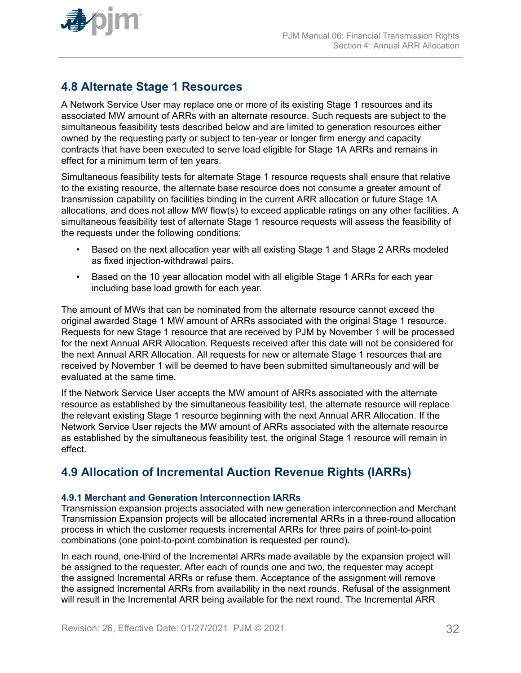<span id="page-31-0"></span>

## **4.8 Alternate Stage 1 Resources**

A Network Service User may replace one or more of its existing Stage 1 resources and its associated MW amount of ARRs with an alternate resource. Such requests are subject to the simultaneous feasibility tests described below and are limited to generation resources either owned by the requesting party or subject to ten-year or longer firm energy and capacity contracts that have been executed to serve load eligible for Stage 1A ARRs and remains in effect for a minimum term of ten years.

Simultaneous feasibility tests for alternate Stage 1 resource requests shall ensure that relative to the existing resource, the alternate base resource does not consume a greater amount of transmission capability on facilities binding in the current ARR allocation or future Stage 1A allocations, and does not allow MW flow(s) to exceed applicable ratings on any other facilities. A simultaneous feasibility test of alternate Stage 1 resource requests will assess the feasibility of the requests under the following conditions:

- Based on the next allocation year with all existing Stage 1 and Stage 2 ARRs modeled as fixed injection-withdrawal pairs.
- Based on the 10 year allocation model with all eligible Stage 1 ARRs for each year including base load growth for each year.

The amount of MWs that can be nominated from the alternate resource cannot exceed the original awarded Stage 1 MW amount of ARRs associated with the original Stage 1 resource. Requests for new Stage 1 resource that are received by PJM by November 1 will be processed for the next Annual ARR Allocation. Requests received after this date will not be considered for the next Annual ARR Allocation. All requests for new or alternate Stage 1 resources that are received by November 1 will be deemed to have been submitted simultaneously and will be evaluated at the same time.

If the Network Service User accepts the MW amount of ARRs associated with the alternate resource as established by the simultaneous feasibility test, the alternate resource will replace the relevant existing Stage 1 resource beginning with the next Annual ARR Allocation. If the Network Service User rejects the MW amount of ARRs associated with the alternate resource as established by the simultaneous feasibility test, the original Stage 1 resource will remain in effect.

# **4.9 Allocation of Incremental Auction Revenue Rights (IARRs)**

#### **4.9.1 Merchant and Generation Interconnection IARRs**

Transmission expansion projects associated with new generation interconnection and Merchant Transmission Expansion projects will be allocated incremental ARRs in a three-round allocation process in which the customer requests incremental ARRs for three pairs of point-to-point combinations (one point-to-point combination is requested per round).

In each round, one-third of the Incremental ARRs made available by the expansion project will be assigned to the requester. After each of rounds one and two, the requester may accept the assigned Incremental ARRs or refuse them. Acceptance of the assignment will remove the assigned Incremental ARRs from availability in the next rounds. Refusal of the assignment will result in the Incremental ARR being available for the next round. The Incremental ARR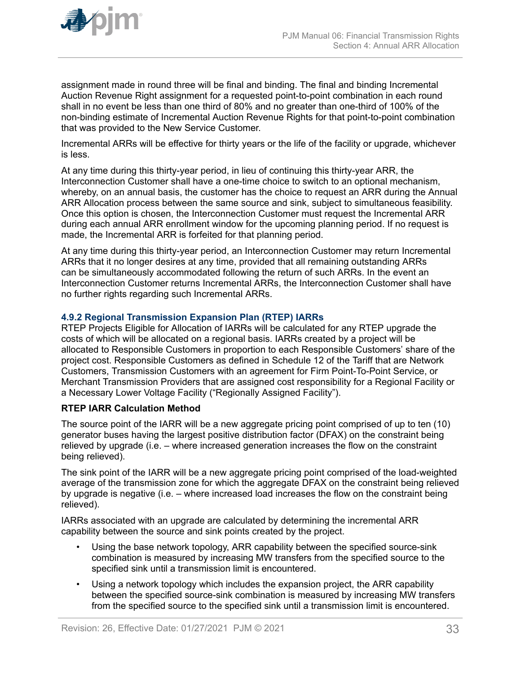<span id="page-32-0"></span>

assignment made in round three will be final and binding. The final and binding Incremental Auction Revenue Right assignment for a requested point-to-point combination in each round shall in no event be less than one third of 80% and no greater than one-third of 100% of the non-binding estimate of Incremental Auction Revenue Rights for that point-to-point combination that was provided to the New Service Customer.

Incremental ARRs will be effective for thirty years or the life of the facility or upgrade, whichever is less.

At any time during this thirty-year period, in lieu of continuing this thirty-year ARR, the Interconnection Customer shall have a one-time choice to switch to an optional mechanism, whereby, on an annual basis, the customer has the choice to request an ARR during the Annual ARR Allocation process between the same source and sink, subject to simultaneous feasibility. Once this option is chosen, the Interconnection Customer must request the Incremental ARR during each annual ARR enrollment window for the upcoming planning period. If no request is made, the Incremental ARR is forfeited for that planning period.

At any time during this thirty-year period, an Interconnection Customer may return Incremental ARRs that it no longer desires at any time, provided that all remaining outstanding ARRs can be simultaneously accommodated following the return of such ARRs. In the event an Interconnection Customer returns Incremental ARRs, the Interconnection Customer shall have no further rights regarding such Incremental ARRs.

#### **4.9.2 Regional Transmission Expansion Plan (RTEP) IARRs**

RTEP Projects Eligible for Allocation of IARRs will be calculated for any RTEP upgrade the costs of which will be allocated on a regional basis. IARRs created by a project will be allocated to Responsible Customers in proportion to each Responsible Customers' share of the project cost. Responsible Customers as defined in Schedule 12 of the Tariff that are Network Customers, Transmission Customers with an agreement for Firm Point-To-Point Service, or Merchant Transmission Providers that are assigned cost responsibility for a Regional Facility or a Necessary Lower Voltage Facility ("Regionally Assigned Facility").

#### **RTEP IARR Calculation Method**

The source point of the IARR will be a new aggregate pricing point comprised of up to ten (10) generator buses having the largest positive distribution factor (DFAX) on the constraint being relieved by upgrade (i.e. – where increased generation increases the flow on the constraint being relieved).

The sink point of the IARR will be a new aggregate pricing point comprised of the load-weighted average of the transmission zone for which the aggregate DFAX on the constraint being relieved by upgrade is negative (i.e. – where increased load increases the flow on the constraint being relieved).

IARRs associated with an upgrade are calculated by determining the incremental ARR capability between the source and sink points created by the project.

- Using the base network topology, ARR capability between the specified source-sink combination is measured by increasing MW transfers from the specified source to the specified sink until a transmission limit is encountered.
- Using a network topology which includes the expansion project, the ARR capability between the specified source-sink combination is measured by increasing MW transfers from the specified source to the specified sink until a transmission limit is encountered.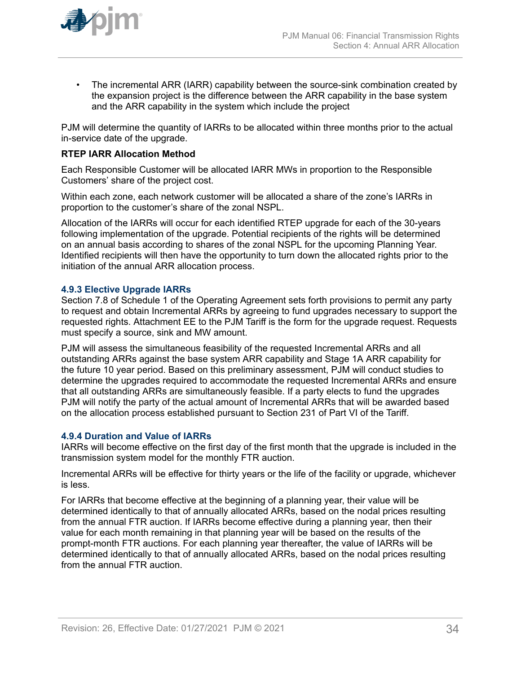<span id="page-33-0"></span>

• The incremental ARR (IARR) capability between the source-sink combination created by the expansion project is the difference between the ARR capability in the base system and the ARR capability in the system which include the project

PJM will determine the quantity of IARRs to be allocated within three months prior to the actual in-service date of the upgrade.

#### **RTEP IARR Allocation Method**

Each Responsible Customer will be allocated IARR MWs in proportion to the Responsible Customers' share of the project cost.

Within each zone, each network customer will be allocated a share of the zone's IARRs in proportion to the customer's share of the zonal NSPL.

Allocation of the IARRs will occur for each identified RTEP upgrade for each of the 30-years following implementation of the upgrade. Potential recipients of the rights will be determined on an annual basis according to shares of the zonal NSPL for the upcoming Planning Year. Identified recipients will then have the opportunity to turn down the allocated rights prior to the initiation of the annual ARR allocation process.

#### **4.9.3 Elective Upgrade IARRs**

Section 7.8 of Schedule 1 of the Operating Agreement sets forth provisions to permit any party to request and obtain Incremental ARRs by agreeing to fund upgrades necessary to support the requested rights. Attachment EE to the PJM Tariff is the form for the upgrade request. Requests must specify a source, sink and MW amount.

PJM will assess the simultaneous feasibility of the requested Incremental ARRs and all outstanding ARRs against the base system ARR capability and Stage 1A ARR capability for the future 10 year period. Based on this preliminary assessment, PJM will conduct studies to determine the upgrades required to accommodate the requested Incremental ARRs and ensure that all outstanding ARRs are simultaneously feasible. If a party elects to fund the upgrades PJM will notify the party of the actual amount of Incremental ARRs that will be awarded based on the allocation process established pursuant to Section 231 of Part VI of the Tariff.

#### **4.9.4 Duration and Value of IARRs**

IARRs will become effective on the first day of the first month that the upgrade is included in the transmission system model for the monthly FTR auction.

Incremental ARRs will be effective for thirty years or the life of the facility or upgrade, whichever is less.

For IARRs that become effective at the beginning of a planning year, their value will be determined identically to that of annually allocated ARRs, based on the nodal prices resulting from the annual FTR auction. If IARRs become effective during a planning year, then their value for each month remaining in that planning year will be based on the results of the prompt-month FTR auctions. For each planning year thereafter, the value of IARRs will be determined identically to that of annually allocated ARRs, based on the nodal prices resulting from the annual FTR auction.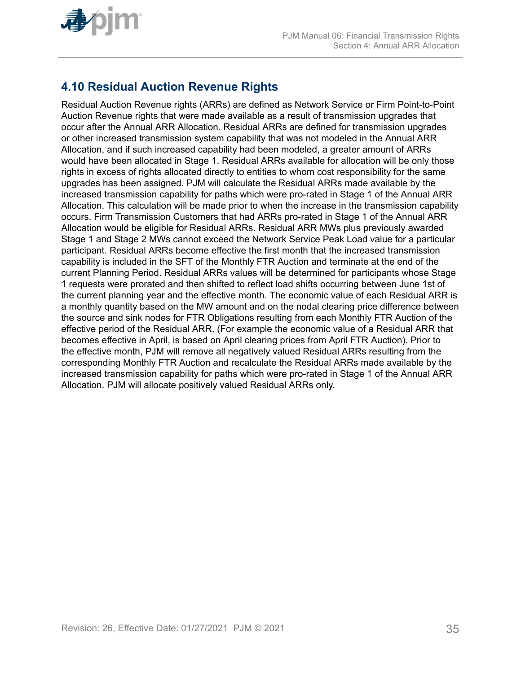<span id="page-34-0"></span>

# **4.10 Residual Auction Revenue Rights**

Residual Auction Revenue rights (ARRs) are defined as Network Service or Firm Point-to-Point Auction Revenue rights that were made available as a result of transmission upgrades that occur after the Annual ARR Allocation. Residual ARRs are defined for transmission upgrades or other increased transmission system capability that was not modeled in the Annual ARR Allocation, and if such increased capability had been modeled, a greater amount of ARRs would have been allocated in Stage 1. Residual ARRs available for allocation will be only those rights in excess of rights allocated directly to entities to whom cost responsibility for the same upgrades has been assigned. PJM will calculate the Residual ARRs made available by the increased transmission capability for paths which were pro-rated in Stage 1 of the Annual ARR Allocation. This calculation will be made prior to when the increase in the transmission capability occurs. Firm Transmission Customers that had ARRs pro-rated in Stage 1 of the Annual ARR Allocation would be eligible for Residual ARRs. Residual ARR MWs plus previously awarded Stage 1 and Stage 2 MWs cannot exceed the Network Service Peak Load value for a particular participant. Residual ARRs become effective the first month that the increased transmission capability is included in the SFT of the Monthly FTR Auction and terminate at the end of the current Planning Period. Residual ARRs values will be determined for participants whose Stage 1 requests were prorated and then shifted to reflect load shifts occurring between June 1st of the current planning year and the effective month. The economic value of each Residual ARR is a monthly quantity based on the MW amount and on the nodal clearing price difference between the source and sink nodes for FTR Obligations resulting from each Monthly FTR Auction of the effective period of the Residual ARR. (For example the economic value of a Residual ARR that becomes effective in April, is based on April clearing prices from April FTR Auction). Prior to the effective month, PJM will remove all negatively valued Residual ARRs resulting from the corresponding Monthly FTR Auction and recalculate the Residual ARRs made available by the increased transmission capability for paths which were pro-rated in Stage 1 of the Annual ARR Allocation. PJM will allocate positively valued Residual ARRs only.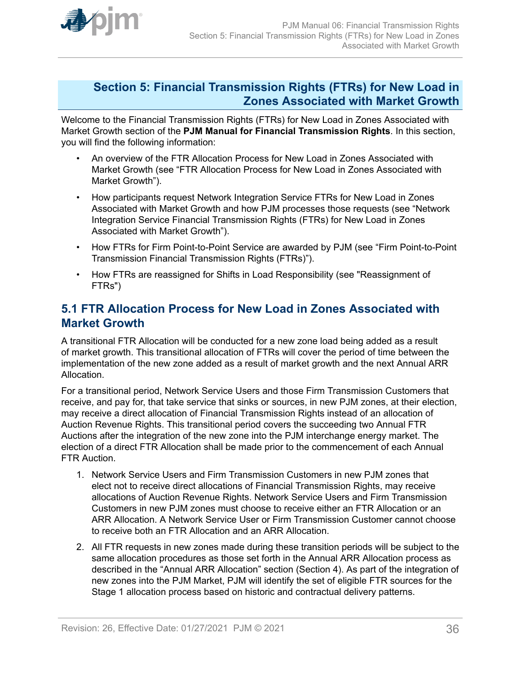<span id="page-35-0"></span>

### **Section 5: Financial Transmission Rights (FTRs) for New Load in Zones Associated with Market Growth**

Welcome to the Financial Transmission Rights (FTRs) for New Load in Zones Associated with Market Growth section of the **PJM Manual for Financial Transmission Rights**. In this section, you will find the following information:

- An overview of the FTR Allocation Process for New Load in Zones Associated with Market Growth (see "FTR Allocation Process for New Load in Zones Associated with Market Growth").
- How participants request Network Integration Service FTRs for New Load in Zones Associated with Market Growth and how PJM processes those requests (see "Network Integration Service Financial Transmission Rights (FTRs) for New Load in Zones Associated with Market Growth").
- How FTRs for Firm Point-to-Point Service are awarded by PJM (see "Firm Point-to-Point Transmission Financial Transmission Rights (FTRs)").
- How FTRs are reassigned for Shifts in Load Responsibility (see "Reassignment of FTRs")

## **5.1 FTR Allocation Process for New Load in Zones Associated with Market Growth**

A transitional FTR Allocation will be conducted for a new zone load being added as a result of market growth. This transitional allocation of FTRs will cover the period of time between the implementation of the new zone added as a result of market growth and the next Annual ARR Allocation.

For a transitional period, Network Service Users and those Firm Transmission Customers that receive, and pay for, that take service that sinks or sources, in new PJM zones, at their election, may receive a direct allocation of Financial Transmission Rights instead of an allocation of Auction Revenue Rights. This transitional period covers the succeeding two Annual FTR Auctions after the integration of the new zone into the PJM interchange energy market. The election of a direct FTR Allocation shall be made prior to the commencement of each Annual FTR Auction.

- 1. Network Service Users and Firm Transmission Customers in new PJM zones that elect not to receive direct allocations of Financial Transmission Rights, may receive allocations of Auction Revenue Rights. Network Service Users and Firm Transmission Customers in new PJM zones must choose to receive either an FTR Allocation or an ARR Allocation. A Network Service User or Firm Transmission Customer cannot choose to receive both an FTR Allocation and an ARR Allocation.
- 2. All FTR requests in new zones made during these transition periods will be subject to the same allocation procedures as those set forth in the Annual ARR Allocation process as described in the "Annual ARR Allocation" section (Section 4). As part of the integration of new zones into the PJM Market, PJM will identify the set of eligible FTR sources for the Stage 1 allocation process based on historic and contractual delivery patterns.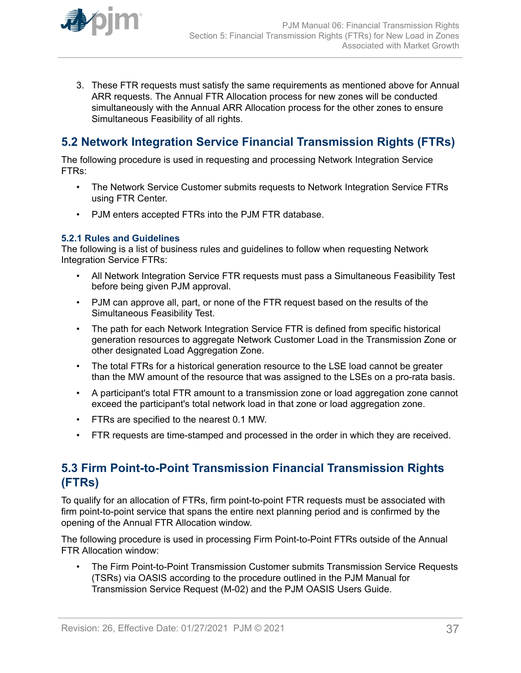<span id="page-36-0"></span>

3. These FTR requests must satisfy the same requirements as mentioned above for Annual ARR requests. The Annual FTR Allocation process for new zones will be conducted simultaneously with the Annual ARR Allocation process for the other zones to ensure Simultaneous Feasibility of all rights.

# **5.2 Network Integration Service Financial Transmission Rights (FTRs)**

The following procedure is used in requesting and processing Network Integration Service FTRs:

- The Network Service Customer submits requests to Network Integration Service FTRs using FTR Center.
- PJM enters accepted FTRs into the PJM FTR database.

#### **5.2.1 Rules and Guidelines**

The following is a list of business rules and guidelines to follow when requesting Network Integration Service FTRs:

- All Network Integration Service FTR requests must pass a Simultaneous Feasibility Test before being given PJM approval.
- PJM can approve all, part, or none of the FTR request based on the results of the Simultaneous Feasibility Test.
- The path for each Network Integration Service FTR is defined from specific historical generation resources to aggregate Network Customer Load in the Transmission Zone or other designated Load Aggregation Zone.
- The total FTRs for a historical generation resource to the LSE load cannot be greater than the MW amount of the resource that was assigned to the LSEs on a pro-rata basis.
- A participant's total FTR amount to a transmission zone or load aggregation zone cannot exceed the participant's total network load in that zone or load aggregation zone.
- FTRs are specified to the nearest 0.1 MW.
- FTR requests are time-stamped and processed in the order in which they are received.

# **5.3 Firm Point-to-Point Transmission Financial Transmission Rights (FTRs)**

To qualify for an allocation of FTRs, firm point-to-point FTR requests must be associated with firm point-to-point service that spans the entire next planning period and is confirmed by the opening of the Annual FTR Allocation window.

The following procedure is used in processing Firm Point-to-Point FTRs outside of the Annual FTR Allocation window:

• The Firm Point-to-Point Transmission Customer submits Transmission Service Requests (TSRs) via OASIS according to the procedure outlined in the PJM Manual for Transmission Service Request (M-02) and the PJM OASIS Users Guide.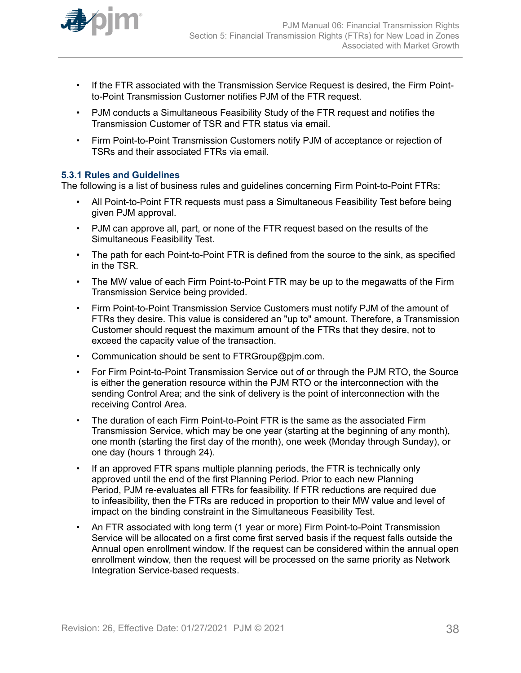<span id="page-37-0"></span>

- If the FTR associated with the Transmission Service Request is desired, the Firm Pointto-Point Transmission Customer notifies PJM of the FTR request.
- PJM conducts a Simultaneous Feasibility Study of the FTR request and notifies the Transmission Customer of TSR and FTR status via email.
- Firm Point-to-Point Transmission Customers notify PJM of acceptance or rejection of TSRs and their associated FTRs via email.

#### **5.3.1 Rules and Guidelines**

The following is a list of business rules and guidelines concerning Firm Point-to-Point FTRs:

- All Point-to-Point FTR requests must pass a Simultaneous Feasibility Test before being given PJM approval.
- PJM can approve all, part, or none of the FTR request based on the results of the Simultaneous Feasibility Test.
- The path for each Point-to-Point FTR is defined from the source to the sink, as specified in the TSR.
- The MW value of each Firm Point-to-Point FTR may be up to the megawatts of the Firm Transmission Service being provided.
- Firm Point-to-Point Transmission Service Customers must notify PJM of the amount of FTRs they desire. This value is considered an "up to" amount. Therefore, a Transmission Customer should request the maximum amount of the FTRs that they desire, not to exceed the capacity value of the transaction.
- Communication should be sent to FTRGroup@pjm.com.
- For Firm Point-to-Point Transmission Service out of or through the PJM RTO, the Source is either the generation resource within the PJM RTO or the interconnection with the sending Control Area; and the sink of delivery is the point of interconnection with the receiving Control Area.
- The duration of each Firm Point-to-Point FTR is the same as the associated Firm Transmission Service, which may be one year (starting at the beginning of any month), one month (starting the first day of the month), one week (Monday through Sunday), or one day (hours 1 through 24).
- If an approved FTR spans multiple planning periods, the FTR is technically only approved until the end of the first Planning Period. Prior to each new Planning Period, PJM re-evaluates all FTRs for feasibility. If FTR reductions are required due to infeasibility, then the FTRs are reduced in proportion to their MW value and level of impact on the binding constraint in the Simultaneous Feasibility Test.
- An FTR associated with long term (1 year or more) Firm Point-to-Point Transmission Service will be allocated on a first come first served basis if the request falls outside the Annual open enrollment window. If the request can be considered within the annual open enrollment window, then the request will be processed on the same priority as Network Integration Service-based requests.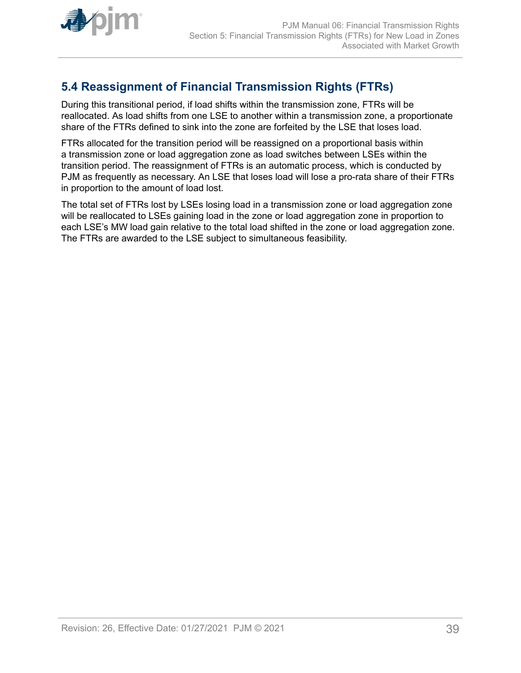<span id="page-38-0"></span>

# **5.4 Reassignment of Financial Transmission Rights (FTRs)**

During this transitional period, if load shifts within the transmission zone, FTRs will be reallocated. As load shifts from one LSE to another within a transmission zone, a proportionate share of the FTRs defined to sink into the zone are forfeited by the LSE that loses load.

FTRs allocated for the transition period will be reassigned on a proportional basis within a transmission zone or load aggregation zone as load switches between LSEs within the transition period. The reassignment of FTRs is an automatic process, which is conducted by PJM as frequently as necessary. An LSE that loses load will lose a pro-rata share of their FTRs in proportion to the amount of load lost.

The total set of FTRs lost by LSEs losing load in a transmission zone or load aggregation zone will be reallocated to LSEs gaining load in the zone or load aggregation zone in proportion to each LSE's MW load gain relative to the total load shifted in the zone or load aggregation zone. The FTRs are awarded to the LSE subject to simultaneous feasibility.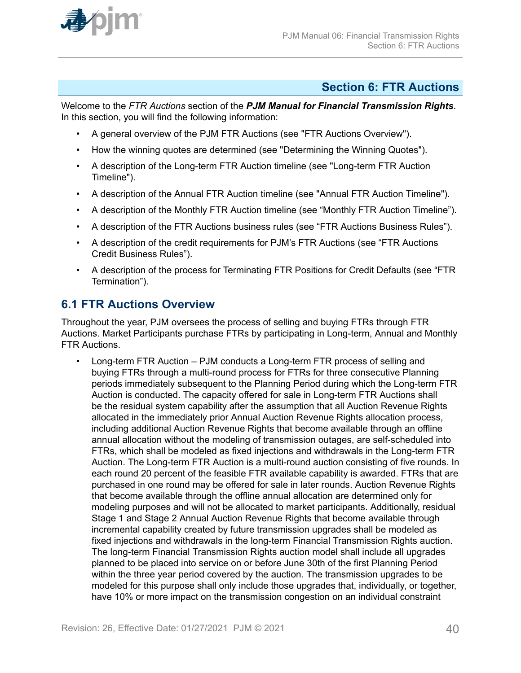<span id="page-39-0"></span>

### **Section 6: FTR Auctions**

Welcome to the *FTR Auctions* section of the *PJM Manual for Financial Transmission Rights*. In this section, you will find the following information:

- A general overview of the PJM FTR Auctions (see "FTR Auctions Overview").
- How the winning quotes are determined (see "Determining the Winning Quotes").
- A description of the Long-term FTR Auction timeline (see "Long-term FTR Auction Timeline").
- A description of the Annual FTR Auction timeline (see "Annual FTR Auction Timeline").
- A description of the Monthly FTR Auction timeline (see "Monthly FTR Auction Timeline").
- A description of the FTR Auctions business rules (see "FTR Auctions Business Rules").
- A description of the credit requirements for PJM's FTR Auctions (see "FTR Auctions Credit Business Rules").
- A description of the process for Terminating FTR Positions for Credit Defaults (see "FTR Termination").

### **6.1 FTR Auctions Overview**

Throughout the year, PJM oversees the process of selling and buying FTRs through FTR Auctions. Market Participants purchase FTRs by participating in Long-term, Annual and Monthly FTR Auctions.

• Long-term FTR Auction – PJM conducts a Long-term FTR process of selling and buying FTRs through a multi-round process for FTRs for three consecutive Planning periods immediately subsequent to the Planning Period during which the Long-term FTR Auction is conducted. The capacity offered for sale in Long-term FTR Auctions shall be the residual system capability after the assumption that all Auction Revenue Rights allocated in the immediately prior Annual Auction Revenue Rights allocation process, including additional Auction Revenue Rights that become available through an offline annual allocation without the modeling of transmission outages, are self-scheduled into FTRs, which shall be modeled as fixed injections and withdrawals in the Long-term FTR Auction. The Long-term FTR Auction is a multi-round auction consisting of five rounds. In each round 20 percent of the feasible FTR available capability is awarded. FTRs that are purchased in one round may be offered for sale in later rounds. Auction Revenue Rights that become available through the offline annual allocation are determined only for modeling purposes and will not be allocated to market participants. Additionally, residual Stage 1 and Stage 2 Annual Auction Revenue Rights that become available through incremental capability created by future transmission upgrades shall be modeled as fixed injections and withdrawals in the long-term Financial Transmission Rights auction. The long-term Financial Transmission Rights auction model shall include all upgrades planned to be placed into service on or before June 30th of the first Planning Period within the three year period covered by the auction. The transmission upgrades to be modeled for this purpose shall only include those upgrades that, individually, or together, have 10% or more impact on the transmission congestion on an individual constraint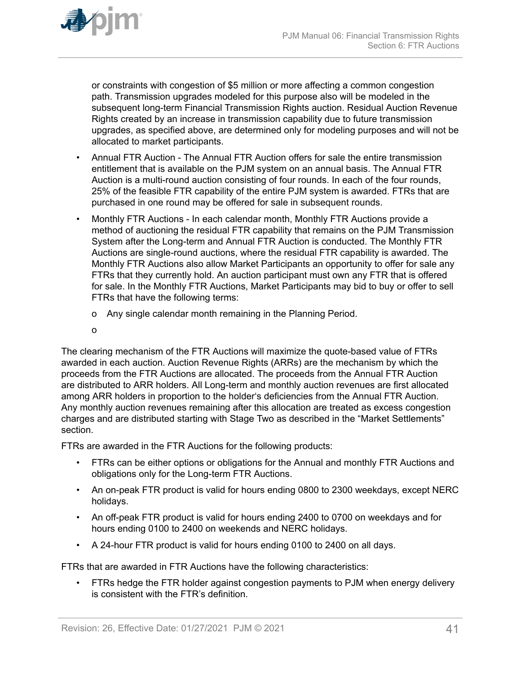

or constraints with congestion of \$5 million or more affecting a common congestion path. Transmission upgrades modeled for this purpose also will be modeled in the subsequent long-term Financial Transmission Rights auction. Residual Auction Revenue Rights created by an increase in transmission capability due to future transmission upgrades, as specified above, are determined only for modeling purposes and will not be allocated to market participants.

- Annual FTR Auction The Annual FTR Auction offers for sale the entire transmission entitlement that is available on the PJM system on an annual basis. The Annual FTR Auction is a multi-round auction consisting of four rounds. In each of the four rounds, 25% of the feasible FTR capability of the entire PJM system is awarded. FTRs that are purchased in one round may be offered for sale in subsequent rounds.
- Monthly FTR Auctions In each calendar month, Monthly FTR Auctions provide a method of auctioning the residual FTR capability that remains on the PJM Transmission System after the Long-term and Annual FTR Auction is conducted. The Monthly FTR Auctions are single-round auctions, where the residual FTR capability is awarded. The Monthly FTR Auctions also allow Market Participants an opportunity to offer for sale any FTRs that they currently hold. An auction participant must own any FTR that is offered for sale. In the Monthly FTR Auctions, Market Participants may bid to buy or offer to sell FTRs that have the following terms:
	- o Any single calendar month remaining in the Planning Period.
	- o

The clearing mechanism of the FTR Auctions will maximize the quote-based value of FTRs awarded in each auction. Auction Revenue Rights (ARRs) are the mechanism by which the proceeds from the FTR Auctions are allocated. The proceeds from the Annual FTR Auction are distributed to ARR holders. All Long-term and monthly auction revenues are first allocated among ARR holders in proportion to the holder's deficiencies from the Annual FTR Auction. Any monthly auction revenues remaining after this allocation are treated as excess congestion charges and are distributed starting with Stage Two as described in the "Market Settlements" section.

FTRs are awarded in the FTR Auctions for the following products:

- FTRs can be either options or obligations for the Annual and monthly FTR Auctions and obligations only for the Long-term FTR Auctions.
- An on-peak FTR product is valid for hours ending 0800 to 2300 weekdays, except NERC holidays.
- An off-peak FTR product is valid for hours ending 2400 to 0700 on weekdays and for hours ending 0100 to 2400 on weekends and NERC holidays.
- A 24-hour FTR product is valid for hours ending 0100 to 2400 on all days.

FTRs that are awarded in FTR Auctions have the following characteristics:

• FTRs hedge the FTR holder against congestion payments to PJM when energy delivery is consistent with the FTR's definition.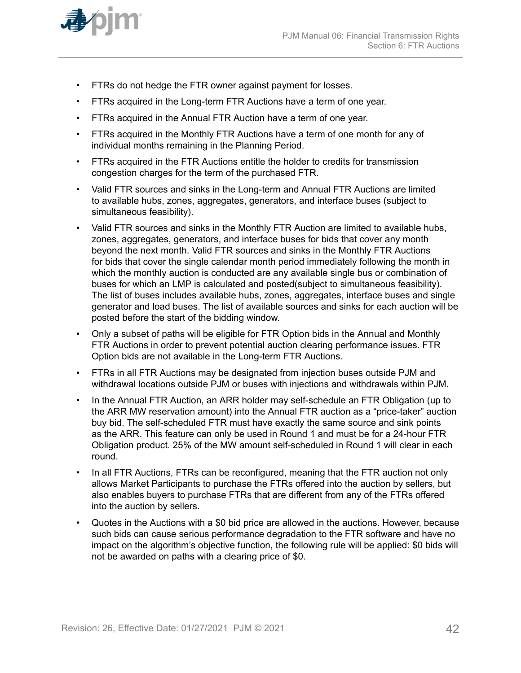

- FTRs do not hedge the FTR owner against payment for losses.
- FTRs acquired in the Long-term FTR Auctions have a term of one year.
- FTRs acquired in the Annual FTR Auction have a term of one year.
- FTRs acquired in the Monthly FTR Auctions have a term of one month for any of individual months remaining in the Planning Period.
- FTRs acquired in the FTR Auctions entitle the holder to credits for transmission congestion charges for the term of the purchased FTR.
- Valid FTR sources and sinks in the Long-term and Annual FTR Auctions are limited to available hubs, zones, aggregates, generators, and interface buses (subject to simultaneous feasibility).
- Valid FTR sources and sinks in the Monthly FTR Auction are limited to available hubs, zones, aggregates, generators, and interface buses for bids that cover any month beyond the next month. Valid FTR sources and sinks in the Monthly FTR Auctions for bids that cover the single calendar month period immediately following the month in which the monthly auction is conducted are any available single bus or combination of buses for which an LMP is calculated and posted(subject to simultaneous feasibility). The list of buses includes available hubs, zones, aggregates, interface buses and single generator and load buses. The list of available sources and sinks for each auction will be posted before the start of the bidding window.
- Only a subset of paths will be eligible for FTR Option bids in the Annual and Monthly FTR Auctions in order to prevent potential auction clearing performance issues. FTR Option bids are not available in the Long-term FTR Auctions.
- FTRs in all FTR Auctions may be designated from injection buses outside PJM and withdrawal locations outside PJM or buses with injections and withdrawals within PJM.
- In the Annual FTR Auction, an ARR holder may self-schedule an FTR Obligation (up to the ARR MW reservation amount) into the Annual FTR auction as a "price-taker" auction buy bid. The self-scheduled FTR must have exactly the same source and sink points as the ARR. This feature can only be used in Round 1 and must be for a 24-hour FTR Obligation product. 25% of the MW amount self-scheduled in Round 1 will clear in each round.
- In all FTR Auctions, FTRs can be reconfigured, meaning that the FTR auction not only allows Market Participants to purchase the FTRs offered into the auction by sellers, but also enables buyers to purchase FTRs that are different from any of the FTRs offered into the auction by sellers.
- Quotes in the Auctions with a \$0 bid price are allowed in the auctions. However, because such bids can cause serious performance degradation to the FTR software and have no impact on the algorithm's objective function, the following rule will be applied: \$0 bids will not be awarded on paths with a clearing price of \$0.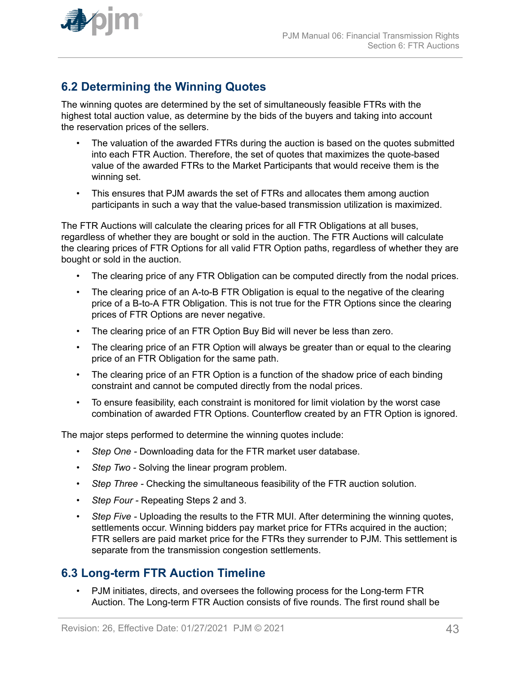

<span id="page-42-0"></span>

# **6.2 Determining the Winning Quotes**

The winning quotes are determined by the set of simultaneously feasible FTRs with the highest total auction value, as determine by the bids of the buyers and taking into account the reservation prices of the sellers.

- The valuation of the awarded FTRs during the auction is based on the quotes submitted into each FTR Auction. Therefore, the set of quotes that maximizes the quote-based value of the awarded FTRs to the Market Participants that would receive them is the winning set.
- This ensures that PJM awards the set of FTRs and allocates them among auction participants in such a way that the value-based transmission utilization is maximized.

The FTR Auctions will calculate the clearing prices for all FTR Obligations at all buses, regardless of whether they are bought or sold in the auction. The FTR Auctions will calculate the clearing prices of FTR Options for all valid FTR Option paths, regardless of whether they are bought or sold in the auction.

- The clearing price of any FTR Obligation can be computed directly from the nodal prices.
- The clearing price of an A-to-B FTR Obligation is equal to the negative of the clearing price of a B-to-A FTR Obligation. This is not true for the FTR Options since the clearing prices of FTR Options are never negative.
- The clearing price of an FTR Option Buy Bid will never be less than zero.
- The clearing price of an FTR Option will always be greater than or equal to the clearing price of an FTR Obligation for the same path.
- The clearing price of an FTR Option is a function of the shadow price of each binding constraint and cannot be computed directly from the nodal prices.
- To ensure feasibility, each constraint is monitored for limit violation by the worst case combination of awarded FTR Options. Counterflow created by an FTR Option is ignored.

The major steps performed to determine the winning quotes include:

- *Step One* Downloading data for the FTR market user database.
- *Step Two* Solving the linear program problem.
- *Step Three* Checking the simultaneous feasibility of the FTR auction solution.
- *Step Four* Repeating Steps 2 and 3.
- *Step Five Uploading the results to the FTR MUI. After determining the winning quotes,* settlements occur. Winning bidders pay market price for FTRs acquired in the auction; FTR sellers are paid market price for the FTRs they surrender to PJM. This settlement is separate from the transmission congestion settlements.

#### **6.3 Long-term FTR Auction Timeline**

• PJM initiates, directs, and oversees the following process for the Long-term FTR Auction. The Long-term FTR Auction consists of five rounds. The first round shall be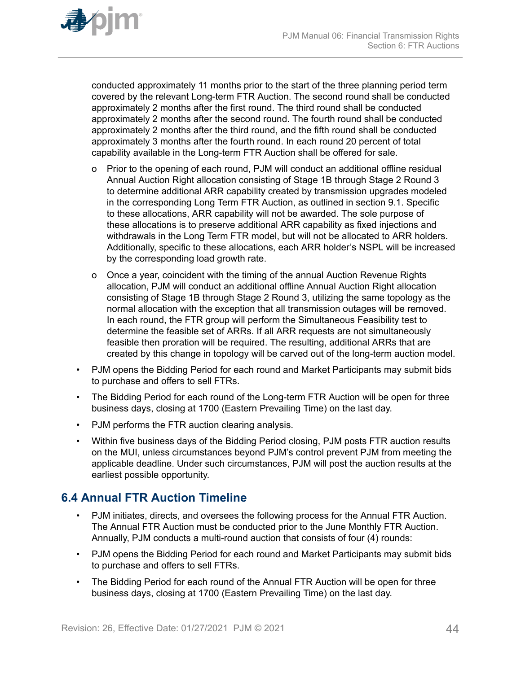<span id="page-43-0"></span>

conducted approximately 11 months prior to the start of the three planning period term covered by the relevant Long-term FTR Auction. The second round shall be conducted approximately 2 months after the first round. The third round shall be conducted approximately 2 months after the second round. The fourth round shall be conducted approximately 2 months after the third round, and the fifth round shall be conducted approximately 3 months after the fourth round. In each round 20 percent of total capability available in the Long-term FTR Auction shall be offered for sale.

- o Prior to the opening of each round, PJM will conduct an additional offline residual Annual Auction Right allocation consisting of Stage 1B through Stage 2 Round 3 to determine additional ARR capability created by transmission upgrades modeled in the corresponding Long Term FTR Auction, as outlined in section 9.1. Specific to these allocations, ARR capability will not be awarded. The sole purpose of these allocations is to preserve additional ARR capability as fixed injections and withdrawals in the Long Term FTR model, but will not be allocated to ARR holders. Additionally, specific to these allocations, each ARR holder's NSPL will be increased by the corresponding load growth rate.
- o Once a year, coincident with the timing of the annual Auction Revenue Rights allocation, PJM will conduct an additional offline Annual Auction Right allocation consisting of Stage 1B through Stage 2 Round 3, utilizing the same topology as the normal allocation with the exception that all transmission outages will be removed. In each round, the FTR group will perform the Simultaneous Feasibility test to determine the feasible set of ARRs. If all ARR requests are not simultaneously feasible then proration will be required. The resulting, additional ARRs that are created by this change in topology will be carved out of the long-term auction model.
- PJM opens the Bidding Period for each round and Market Participants may submit bids to purchase and offers to sell FTRs.
- The Bidding Period for each round of the Long-term FTR Auction will be open for three business days, closing at 1700 (Eastern Prevailing Time) on the last day.
- PJM performs the FTR auction clearing analysis.
- Within five business days of the Bidding Period closing, PJM posts FTR auction results on the MUI, unless circumstances beyond PJM's control prevent PJM from meeting the applicable deadline. Under such circumstances, PJM will post the auction results at the earliest possible opportunity.

### **6.4 Annual FTR Auction Timeline**

- PJM initiates, directs, and oversees the following process for the Annual FTR Auction. The Annual FTR Auction must be conducted prior to the June Monthly FTR Auction. Annually, PJM conducts a multi-round auction that consists of four (4) rounds:
- PJM opens the Bidding Period for each round and Market Participants may submit bids to purchase and offers to sell FTRs.
- The Bidding Period for each round of the Annual FTR Auction will be open for three business days, closing at 1700 (Eastern Prevailing Time) on the last day.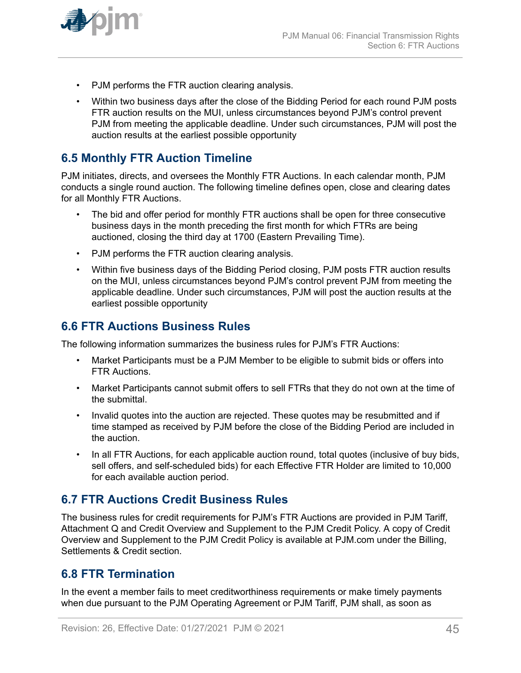<span id="page-44-0"></span>

- PJM performs the FTR auction clearing analysis.
- Within two business days after the close of the Bidding Period for each round PJM posts FTR auction results on the MUI, unless circumstances beyond PJM's control prevent PJM from meeting the applicable deadline. Under such circumstances, PJM will post the auction results at the earliest possible opportunity

# **6.5 Monthly FTR Auction Timeline**

PJM initiates, directs, and oversees the Monthly FTR Auctions. In each calendar month, PJM conducts a single round auction. The following timeline defines open, close and clearing dates for all Monthly FTR Auctions.

- The bid and offer period for monthly FTR auctions shall be open for three consecutive business days in the month preceding the first month for which FTRs are being auctioned, closing the third day at 1700 (Eastern Prevailing Time).
- PJM performs the FTR auction clearing analysis.
- Within five business days of the Bidding Period closing, PJM posts FTR auction results on the MUI, unless circumstances beyond PJM's control prevent PJM from meeting the applicable deadline. Under such circumstances, PJM will post the auction results at the earliest possible opportunity

### **6.6 FTR Auctions Business Rules**

The following information summarizes the business rules for PJM's FTR Auctions:

- Market Participants must be a PJM Member to be eligible to submit bids or offers into FTR Auctions.
- Market Participants cannot submit offers to sell FTRs that they do not own at the time of the submittal.
- Invalid quotes into the auction are rejected. These quotes may be resubmitted and if time stamped as received by PJM before the close of the Bidding Period are included in the auction.
- In all FTR Auctions, for each applicable auction round, total quotes (inclusive of buy bids, sell offers, and self-scheduled bids) for each Effective FTR Holder are limited to 10,000 for each available auction period.

### **6.7 FTR Auctions Credit Business Rules**

The business rules for credit requirements for PJM's FTR Auctions are provided in PJM Tariff, Attachment Q and Credit Overview and Supplement to the PJM Credit Policy. A copy of Credit Overview and Supplement to the PJM Credit Policy is available at PJM.com under the Billing, Settlements & Credit section.

### **6.8 FTR Termination**

In the event a member fails to meet creditworthiness requirements or make timely payments when due pursuant to the PJM Operating Agreement or PJM Tariff, PJM shall, as soon as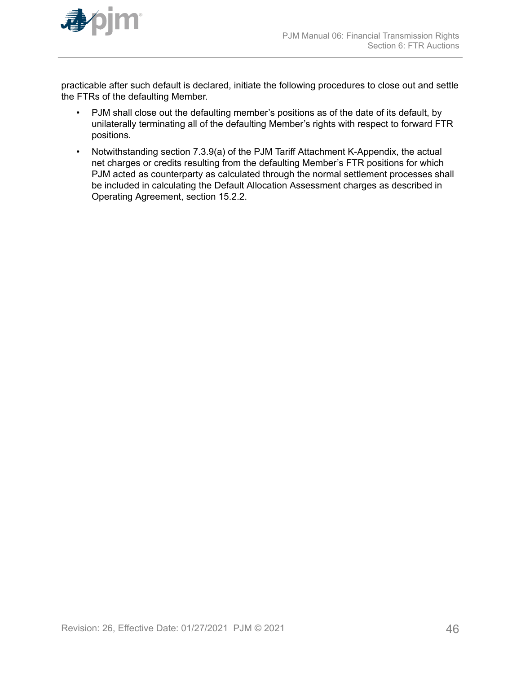

practicable after such default is declared, initiate the following procedures to close out and settle the FTRs of the defaulting Member.

- PJM shall close out the defaulting member's positions as of the date of its default, by unilaterally terminating all of the defaulting Member's rights with respect to forward FTR positions.
- Notwithstanding section 7.3.9(a) of the PJM Tariff Attachment K-Appendix, the actual net charges or credits resulting from the defaulting Member's FTR positions for which PJM acted as counterparty as calculated through the normal settlement processes shall be included in calculating the Default Allocation Assessment charges as described in Operating Agreement, section 15.2.2.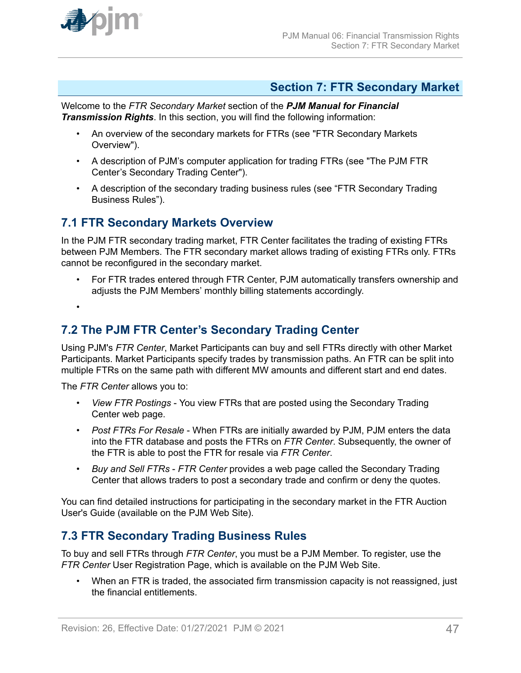<span id="page-46-0"></span>

### **Section 7: FTR Secondary Market**

Welcome to the *FTR Secondary Market* section of the *PJM Manual for Financial Transmission Rights*. In this section, you will find the following information:

- An overview of the secondary markets for FTRs (see "FTR Secondary Markets Overview").
- A description of PJM's computer application for trading FTRs (see "The PJM FTR Center's Secondary Trading Center").
- A description of the secondary trading business rules (see "FTR Secondary Trading Business Rules").

### **7.1 FTR Secondary Markets Overview**

In the PJM FTR secondary trading market, FTR Center facilitates the trading of existing FTRs between PJM Members. The FTR secondary market allows trading of existing FTRs only. FTRs cannot be reconfigured in the secondary market.

• For FTR trades entered through FTR Center, PJM automatically transfers ownership and adjusts the PJM Members' monthly billing statements accordingly.

•

### **7.2 The PJM FTR Center's Secondary Trading Center**

Using PJM's *FTR Center*, Market Participants can buy and sell FTRs directly with other Market Participants. Market Participants specify trades by transmission paths. An FTR can be split into multiple FTRs on the same path with different MW amounts and different start and end dates.

The *FTR Center* allows you to:

- *View FTR Postings* You view FTRs that are posted using the Secondary Trading Center web page.
- *Post FTRs For Resale* When FTRs are initially awarded by PJM, PJM enters the data into the FTR database and posts the FTRs on *FTR Center*. Subsequently, the owner of the FTR is able to post the FTR for resale via *FTR Center*.
- *Buy and Sell FTRs FTR Center* provides a web page called the Secondary Trading Center that allows traders to post a secondary trade and confirm or deny the quotes.

You can find detailed instructions for participating in the secondary market in the FTR Auction User's Guide (available on the PJM Web Site).

# **7.3 FTR Secondary Trading Business Rules**

To buy and sell FTRs through *FTR Center*, you must be a PJM Member. To register, use the *FTR Center* User Registration Page, which is available on the PJM Web Site.

• When an FTR is traded, the associated firm transmission capacity is not reassigned, just the financial entitlements.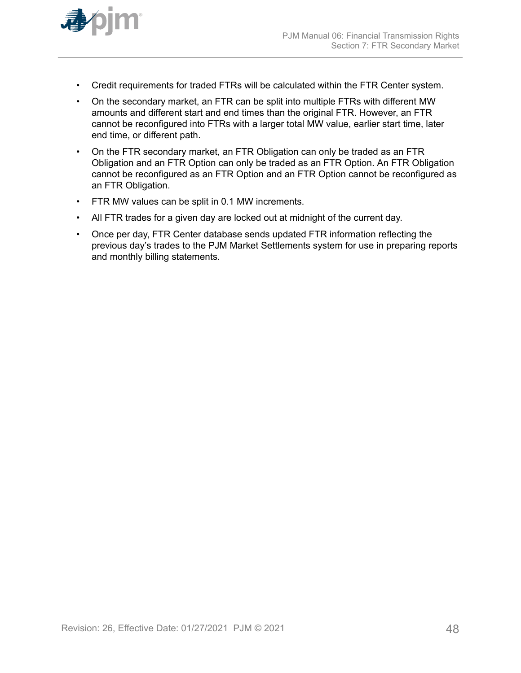

- Credit requirements for traded FTRs will be calculated within the FTR Center system.
- On the secondary market, an FTR can be split into multiple FTRs with different MW amounts and different start and end times than the original FTR. However, an FTR cannot be reconfigured into FTRs with a larger total MW value, earlier start time, later end time, or different path.
- On the FTR secondary market, an FTR Obligation can only be traded as an FTR Obligation and an FTR Option can only be traded as an FTR Option. An FTR Obligation cannot be reconfigured as an FTR Option and an FTR Option cannot be reconfigured as an FTR Obligation.
- FTR MW values can be split in 0.1 MW increments.
- All FTR trades for a given day are locked out at midnight of the current day.
- Once per day, FTR Center database sends updated FTR information reflecting the previous day's trades to the PJM Market Settlements system for use in preparing reports and monthly billing statements.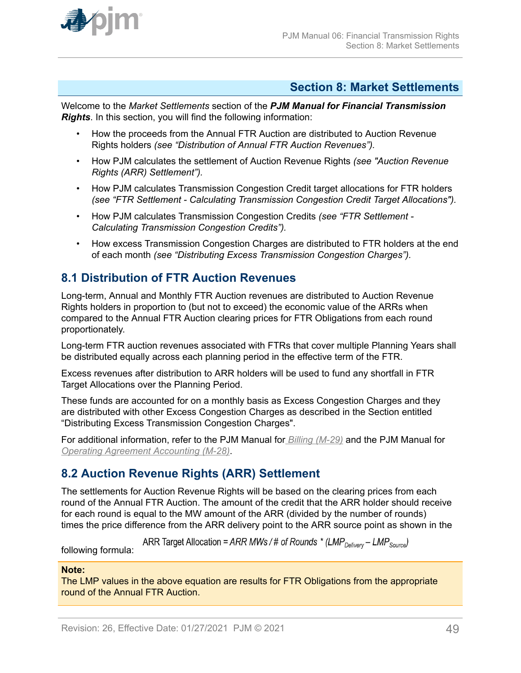<span id="page-48-0"></span>

### **Section 8: Market Settlements**

Welcome to the *Market Settlements* section of the *PJM Manual for Financial Transmission Rights*. In this section, you will find the following information:

- How the proceeds from the Annual FTR Auction are distributed to Auction Revenue Rights holders *(see "Distribution of Annual FTR Auction Revenues").*
- How PJM calculates the settlement of Auction Revenue Rights *(see "Auction Revenue Rights (ARR) Settlement").*
- How PJM calculates Transmission Congestion Credit target allocations for FTR holders *(see "FTR Settlement - Calculating Transmission Congestion Credit Target Allocations").*
- How PJM calculates Transmission Congestion Credits *(see "FTR Settlement - Calculating Transmission Congestion Credits").*
- How excess Transmission Congestion Charges are distributed to FTR holders at the end of each month *(see "Distributing Excess Transmission Congestion Charges").*

### **8.1 Distribution of FTR Auction Revenues**

Long-term, Annual and Monthly FTR Auction revenues are distributed to Auction Revenue Rights holders in proportion to (but not to exceed) the economic value of the ARRs when compared to the Annual FTR Auction clearing prices for FTR Obligations from each round proportionately.

Long-term FTR auction revenues associated with FTRs that cover multiple Planning Years shall be distributed equally across each planning period in the effective term of the FTR.

Excess revenues after distribution to ARR holders will be used to fund any shortfall in FTR Target Allocations over the Planning Period.

These funds are accounted for on a monthly basis as Excess Congestion Charges and they are distributed with other Excess Congestion Charges as described in the Section entitled "Distributing Excess Transmission Congestion Charges".

For additional information, refer to the PJM Manual for *[Billing \(M-29\)](http://www.pjm.com/~/media/documents/manuals/m29.ashx)* and the PJM Manual for *[Operating Agreement Accounting \(M-28\)](http://www.pjm.com/~/media/documents/manuals/m28.ashx)*.

# **8.2 Auction Revenue Rights (ARR) Settlement**

The settlements for Auction Revenue Rights will be based on the clearing prices from each round of the Annual FTR Auction. The amount of the credit that the ARR holder should receive for each round is equal to the MW amount of the ARR (divided by the number of rounds) times the price difference from the ARR delivery point to the ARR source point as shown in the

ARR Target Allocation = ARR MWs / # of Rounds \* (LMP<sub>Delivery</sub> – LMP<sub>Source</sub>)

following formula:

#### **Note:**

The LMP values in the above equation are results for FTR Obligations from the appropriate round of the Annual FTR Auction.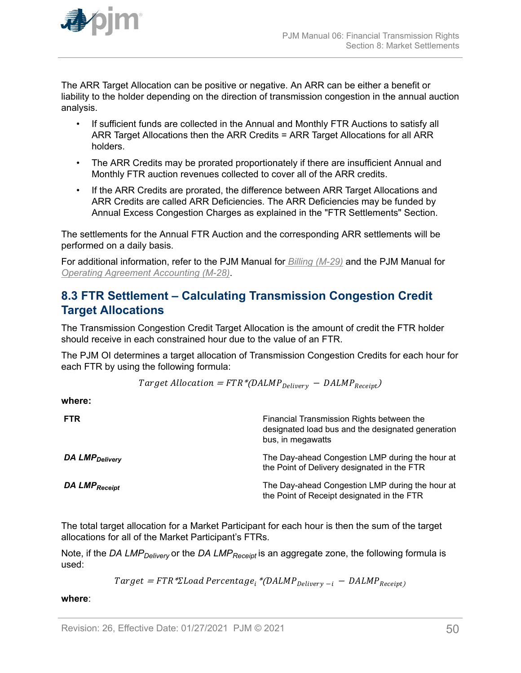<span id="page-49-0"></span>

The ARR Target Allocation can be positive or negative. An ARR can be either a benefit or liability to the holder depending on the direction of transmission congestion in the annual auction analysis.

- If sufficient funds are collected in the Annual and Monthly FTR Auctions to satisfy all ARR Target Allocations then the ARR Credits = ARR Target Allocations for all ARR holders.
- The ARR Credits may be prorated proportionately if there are insufficient Annual and Monthly FTR auction revenues collected to cover all of the ARR credits.
- If the ARR Credits are prorated, the difference between ARR Target Allocations and ARR Credits are called ARR Deficiencies. The ARR Deficiencies may be funded by Annual Excess Congestion Charges as explained in the "FTR Settlements" Section.

The settlements for the Annual FTR Auction and the corresponding ARR settlements will be performed on a daily basis.

For additional information, refer to the PJM Manual for *[Billing \(M-29\)](http://www.pjm.com/~/media/documents/manuals/m29.ashx)* and the PJM Manual for *[Operating Agreement Accounting \(M-28\)](http://www.pjm.com/~/media/documents/manuals/m28.ashx)*.

# **8.3 FTR Settlement – Calculating Transmission Congestion Credit Target Allocations**

The Transmission Congestion Credit Target Allocation is the amount of credit the FTR holder should receive in each constrained hour due to the value of an FTR.

The PJM OI determines a target allocation of Transmission Congestion Credits for each hour for each FTR by using the following formula:

$$
Target \; Allocation = FTR * (DALMP_{Delivery} - DALMP_{Receipt})
$$

**where:**

| <b>FTR</b>                 | Financial Transmission Rights between the<br>designated load bus and the designated generation<br>bus, in megawatts |
|----------------------------|---------------------------------------------------------------------------------------------------------------------|
| DA LMP <sub>Delivery</sub> | The Day-ahead Congestion LMP during the hour at<br>the Point of Delivery designated in the FTR                      |
| DA LMP <sub>Receipt</sub>  | The Day-ahead Congestion LMP during the hour at<br>the Point of Receipt designated in the FTR                       |

The total target allocation for a Market Participant for each hour is then the sum of the target allocations for all of the Market Participant's FTRs.

Note, if the *DA LMPDelivery* or the *DA LMPReceipt* is an aggregate zone, the following formula is used:

 $Target = FTR * \Sigma Load Percentage_i * (DALMP_{Delivery - i} - DALMP_{Receipt})$ 

**where**: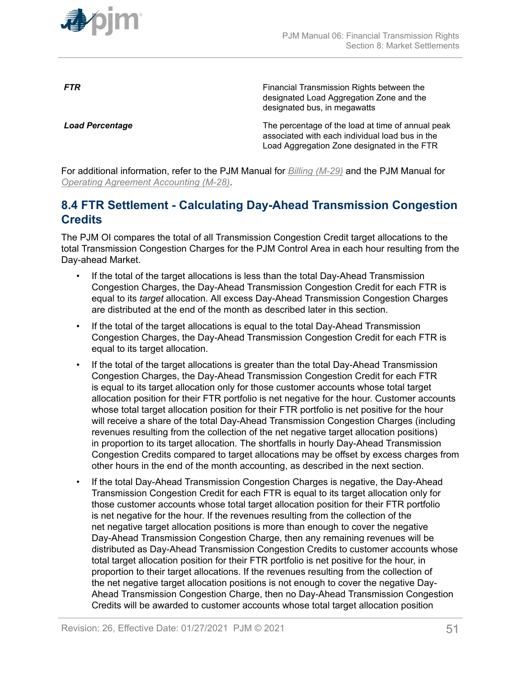<span id="page-50-0"></span>

**FTR** FINE **FINE EXAMPLE TRANSMISS** Financial Transmission Rights between the designated Load Aggregation Zone and the designated bus, in megawatts

**Load Percentage** The percentage of the load at time of annual peak associated with each individual load bus in the Load Aggregation Zone designated in the FTR

For additional information, refer to the PJM Manual for *[Billing \(M-29\)](http://www.pjm.com/~/media/documents/manuals/m29.ashx)* and the PJM Manual for *[Operating Agreement Accounting \(M-28\)](http://www.pjm.com/~/media/documents/manuals/m28.ashx)*.

# **8.4 FTR Settlement - Calculating Day-Ahead Transmission Congestion Credits**

The PJM OI compares the total of all Transmission Congestion Credit target allocations to the total Transmission Congestion Charges for the PJM Control Area in each hour resulting from the Day-ahead Market.

- If the total of the target allocations is less than the total Day-Ahead Transmission Congestion Charges, the Day-Ahead Transmission Congestion Credit for each FTR is equal to its *target* allocation. All excess Day-Ahead Transmission Congestion Charges are distributed at the end of the month as described later in this section.
- If the total of the target allocations is equal to the total Day-Ahead Transmission Congestion Charges, the Day-Ahead Transmission Congestion Credit for each FTR is equal to its target allocation.
- If the total of the target allocations is greater than the total Day-Ahead Transmission Congestion Charges, the Day-Ahead Transmission Congestion Credit for each FTR is equal to its target allocation only for those customer accounts whose total target allocation position for their FTR portfolio is net negative for the hour. Customer accounts whose total target allocation position for their FTR portfolio is net positive for the hour will receive a share of the total Day-Ahead Transmission Congestion Charges (including revenues resulting from the collection of the net negative target allocation positions) in proportion to its target allocation. The shortfalls in hourly Day-Ahead Transmission Congestion Credits compared to target allocations may be offset by excess charges from other hours in the end of the month accounting, as described in the next section.
- If the total Day-Ahead Transmission Congestion Charges is negative, the Day-Ahead Transmission Congestion Credit for each FTR is equal to its target allocation only for those customer accounts whose total target allocation position for their FTR portfolio is net negative for the hour. If the revenues resulting from the collection of the net negative target allocation positions is more than enough to cover the negative Day-Ahead Transmission Congestion Charge, then any remaining revenues will be distributed as Day-Ahead Transmission Congestion Credits to customer accounts whose total target allocation position for their FTR portfolio is net positive for the hour, in proportion to their target allocations. If the revenues resulting from the collection of the net negative target allocation positions is not enough to cover the negative Day-Ahead Transmission Congestion Charge, then no Day-Ahead Transmission Congestion Credits will be awarded to customer accounts whose total target allocation position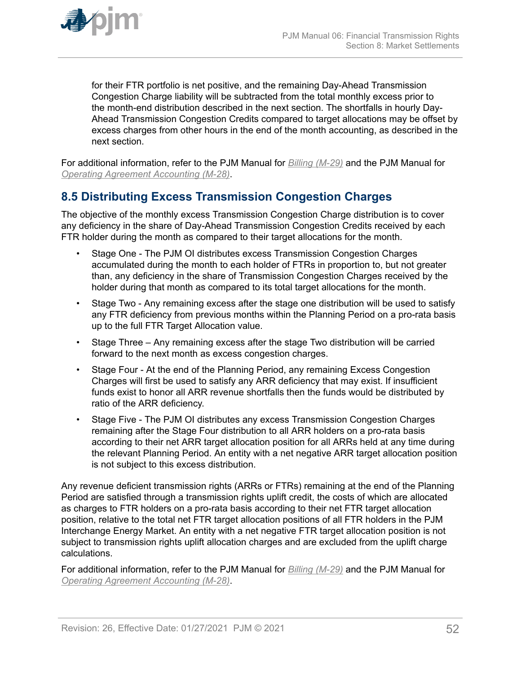<span id="page-51-0"></span>

for their FTR portfolio is net positive, and the remaining Day-Ahead Transmission Congestion Charge liability will be subtracted from the total monthly excess prior to the month-end distribution described in the next section. The shortfalls in hourly Day-Ahead Transmission Congestion Credits compared to target allocations may be offset by excess charges from other hours in the end of the month accounting, as described in the next section.

For additional information, refer to the PJM Manual for *[Billing \(M-29\)](http://www.pjm.com/contributions/pjm-manuals/pdf/m28v24.pdf)* and the PJM Manual for *[Operating Agreement Accounting \(M-28\)](http://www.pjm.com/~/media/documents/manuals/m28.ashx)*.

# **8.5 Distributing Excess Transmission Congestion Charges**

The objective of the monthly excess Transmission Congestion Charge distribution is to cover any deficiency in the share of Day-Ahead Transmission Congestion Credits received by each FTR holder during the month as compared to their target allocations for the month.

- Stage One The PJM OI distributes excess Transmission Congestion Charges accumulated during the month to each holder of FTRs in proportion to, but not greater than, any deficiency in the share of Transmission Congestion Charges received by the holder during that month as compared to its total target allocations for the month.
- Stage Two Any remaining excess after the stage one distribution will be used to satisfy any FTR deficiency from previous months within the Planning Period on a pro-rata basis up to the full FTR Target Allocation value.
- Stage Three Any remaining excess after the stage Two distribution will be carried forward to the next month as excess congestion charges.
- Stage Four At the end of the Planning Period, any remaining Excess Congestion Charges will first be used to satisfy any ARR deficiency that may exist. If insufficient funds exist to honor all ARR revenue shortfalls then the funds would be distributed by ratio of the ARR deficiency.
- Stage Five The PJM OI distributes any excess Transmission Congestion Charges remaining after the Stage Four distribution to all ARR holders on a pro-rata basis according to their net ARR target allocation position for all ARRs held at any time during the relevant Planning Period. An entity with a net negative ARR target allocation position is not subject to this excess distribution.

Any revenue deficient transmission rights (ARRs or FTRs) remaining at the end of the Planning Period are satisfied through a transmission rights uplift credit, the costs of which are allocated as charges to FTR holders on a pro-rata basis according to their net FTR target allocation position, relative to the total net FTR target allocation positions of all FTR holders in the PJM Interchange Energy Market. An entity with a net negative FTR target allocation position is not subject to transmission rights uplift allocation charges and are excluded from the uplift charge calculations.

For additional information, refer to the PJM Manual for *[Billing \(M-29\)](http://www.pjm.com/~/media/documents/manuals/m29.ashx)* and the PJM Manual for *[Operating Agreement Accounting \(M-28\)](http://www.pjm.com/~/media/documents/manuals/m28.ashx)*.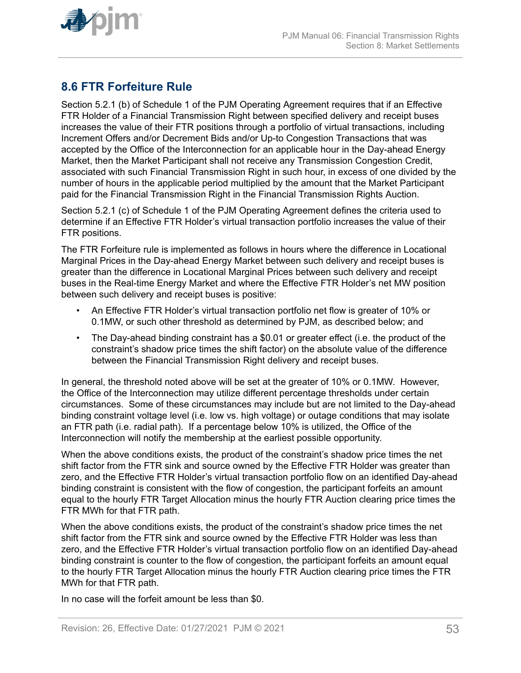<span id="page-52-0"></span>

# **8.6 FTR Forfeiture Rule**

Section 5.2.1 (b) of Schedule 1 of the PJM Operating Agreement requires that if an Effective FTR Holder of a Financial Transmission Right between specified delivery and receipt buses increases the value of their FTR positions through a portfolio of virtual transactions, including Increment Offers and/or Decrement Bids and/or Up-to Congestion Transactions that was accepted by the Office of the Interconnection for an applicable hour in the Day-ahead Energy Market, then the Market Participant shall not receive any Transmission Congestion Credit, associated with such Financial Transmission Right in such hour, in excess of one divided by the number of hours in the applicable period multiplied by the amount that the Market Participant paid for the Financial Transmission Right in the Financial Transmission Rights Auction.

Section 5.2.1 (c) of Schedule 1 of the PJM Operating Agreement defines the criteria used to determine if an Effective FTR Holder's virtual transaction portfolio increases the value of their FTR positions.

The FTR Forfeiture rule is implemented as follows in hours where the difference in Locational Marginal Prices in the Day-ahead Energy Market between such delivery and receipt buses is greater than the difference in Locational Marginal Prices between such delivery and receipt buses in the Real-time Energy Market and where the Effective FTR Holder's net MW position between such delivery and receipt buses is positive:

- An Effective FTR Holder's virtual transaction portfolio net flow is greater of 10% or 0.1MW, or such other threshold as determined by PJM, as described below; and
- The Day-ahead binding constraint has a \$0.01 or greater effect (i.e. the product of the constraint's shadow price times the shift factor) on the absolute value of the difference between the Financial Transmission Right delivery and receipt buses.

In general, the threshold noted above will be set at the greater of 10% or 0.1MW. However, the Office of the Interconnection may utilize different percentage thresholds under certain circumstances. Some of these circumstances may include but are not limited to the Day-ahead binding constraint voltage level (i.e. low vs. high voltage) or outage conditions that may isolate an FTR path (i.e. radial path). If a percentage below 10% is utilized, the Office of the Interconnection will notify the membership at the earliest possible opportunity.

When the above conditions exists, the product of the constraint's shadow price times the net shift factor from the FTR sink and source owned by the Effective FTR Holder was greater than zero, and the Effective FTR Holder's virtual transaction portfolio flow on an identified Day-ahead binding constraint is consistent with the flow of congestion, the participant forfeits an amount equal to the hourly FTR Target Allocation minus the hourly FTR Auction clearing price times the FTR MWh for that FTR path.

When the above conditions exists, the product of the constraint's shadow price times the net shift factor from the FTR sink and source owned by the Effective FTR Holder was less than zero, and the Effective FTR Holder's virtual transaction portfolio flow on an identified Day-ahead binding constraint is counter to the flow of congestion, the participant forfeits an amount equal to the hourly FTR Target Allocation minus the hourly FTR Auction clearing price times the FTR MWh for that FTR path.

In no case will the forfeit amount be less than \$0.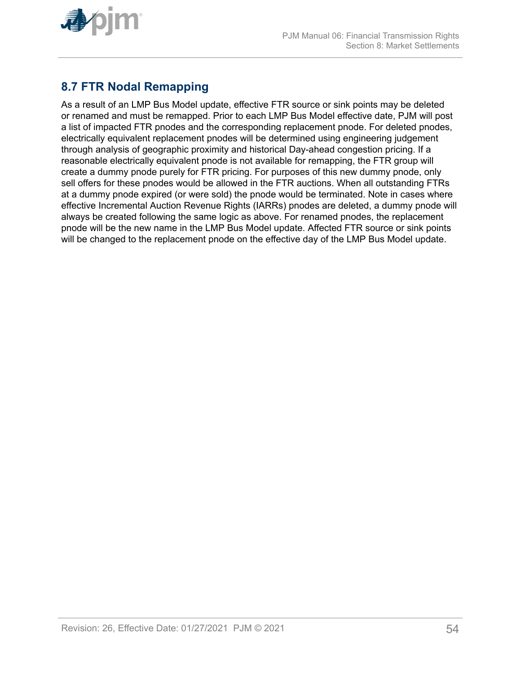<span id="page-53-0"></span>

# **8.7 FTR Nodal Remapping**

As a result of an LMP Bus Model update, effective FTR source or sink points may be deleted or renamed and must be remapped. Prior to each LMP Bus Model effective date, PJM will post a list of impacted FTR pnodes and the corresponding replacement pnode. For deleted pnodes, electrically equivalent replacement pnodes will be determined using engineering judgement through analysis of geographic proximity and historical Day-ahead congestion pricing. If a reasonable electrically equivalent pnode is not available for remapping, the FTR group will create a dummy pnode purely for FTR pricing. For purposes of this new dummy pnode, only sell offers for these pnodes would be allowed in the FTR auctions. When all outstanding FTRs at a dummy pnode expired (or were sold) the pnode would be terminated. Note in cases where effective Incremental Auction Revenue Rights (IARRs) pnodes are deleted, a dummy pnode will always be created following the same logic as above. For renamed pnodes, the replacement pnode will be the new name in the LMP Bus Model update. Affected FTR source or sink points will be changed to the replacement pnode on the effective day of the LMP Bus Model update.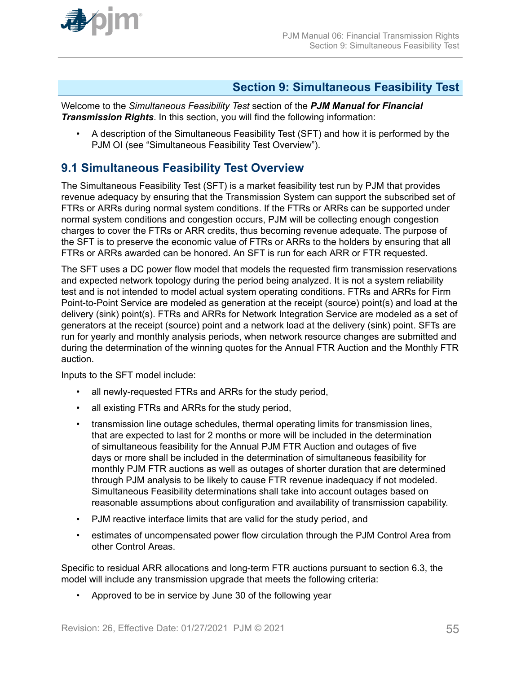<span id="page-54-0"></span>

### **Section 9: Simultaneous Feasibility Test**

Welcome to the *Simultaneous Feasibility Test* section of the *PJM Manual for Financial Transmission Rights*. In this section, you will find the following information:

• A description of the Simultaneous Feasibility Test (SFT) and how it is performed by the PJM OI (see "Simultaneous Feasibility Test Overview").

### **9.1 Simultaneous Feasibility Test Overview**

The Simultaneous Feasibility Test (SFT) is a market feasibility test run by PJM that provides revenue adequacy by ensuring that the Transmission System can support the subscribed set of FTRs or ARRs during normal system conditions. If the FTRs or ARRs can be supported under normal system conditions and congestion occurs, PJM will be collecting enough congestion charges to cover the FTRs or ARR credits, thus becoming revenue adequate. The purpose of the SFT is to preserve the economic value of FTRs or ARRs to the holders by ensuring that all FTRs or ARRs awarded can be honored. An SFT is run for each ARR or FTR requested.

The SFT uses a DC power flow model that models the requested firm transmission reservations and expected network topology during the period being analyzed. It is not a system reliability test and is not intended to model actual system operating conditions. FTRs and ARRs for Firm Point-to-Point Service are modeled as generation at the receipt (source) point(s) and load at the delivery (sink) point(s). FTRs and ARRs for Network Integration Service are modeled as a set of generators at the receipt (source) point and a network load at the delivery (sink) point. SFTs are run for yearly and monthly analysis periods, when network resource changes are submitted and during the determination of the winning quotes for the Annual FTR Auction and the Monthly FTR auction.

Inputs to the SFT model include:

- all newly-requested FTRs and ARRs for the study period,
- all existing FTRs and ARRs for the study period,
- transmission line outage schedules, thermal operating limits for transmission lines, that are expected to last for 2 months or more will be included in the determination of simultaneous feasibility for the Annual PJM FTR Auction and outages of five days or more shall be included in the determination of simultaneous feasibility for monthly PJM FTR auctions as well as outages of shorter duration that are determined through PJM analysis to be likely to cause FTR revenue inadequacy if not modeled. Simultaneous Feasibility determinations shall take into account outages based on reasonable assumptions about configuration and availability of transmission capability.
- PJM reactive interface limits that are valid for the study period, and
- estimates of uncompensated power flow circulation through the PJM Control Area from other Control Areas.

Specific to residual ARR allocations and long-term FTR auctions pursuant to section 6.3, the model will include any transmission upgrade that meets the following criteria:

• Approved to be in service by June 30 of the following year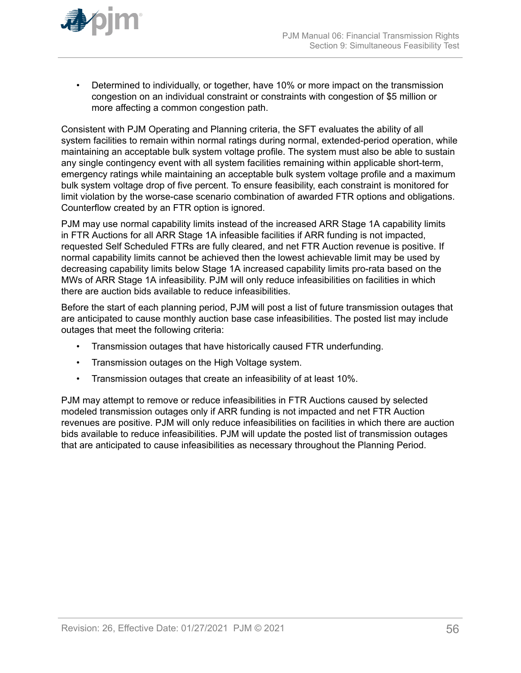

• Determined to individually, or together, have 10% or more impact on the transmission congestion on an individual constraint or constraints with congestion of \$5 million or more affecting a common congestion path.

Consistent with PJM Operating and Planning criteria, the SFT evaluates the ability of all system facilities to remain within normal ratings during normal, extended-period operation, while maintaining an acceptable bulk system voltage profile. The system must also be able to sustain any single contingency event with all system facilities remaining within applicable short-term, emergency ratings while maintaining an acceptable bulk system voltage profile and a maximum bulk system voltage drop of five percent. To ensure feasibility, each constraint is monitored for limit violation by the worse-case scenario combination of awarded FTR options and obligations. Counterflow created by an FTR option is ignored.

PJM may use normal capability limits instead of the increased ARR Stage 1A capability limits in FTR Auctions for all ARR Stage 1A infeasible facilities if ARR funding is not impacted, requested Self Scheduled FTRs are fully cleared, and net FTR Auction revenue is positive. If normal capability limits cannot be achieved then the lowest achievable limit may be used by decreasing capability limits below Stage 1A increased capability limits pro-rata based on the MWs of ARR Stage 1A infeasibility. PJM will only reduce infeasibilities on facilities in which there are auction bids available to reduce infeasibilities.

Before the start of each planning period, PJM will post a list of future transmission outages that are anticipated to cause monthly auction base case infeasibilities. The posted list may include outages that meet the following criteria:

- Transmission outages that have historically caused FTR underfunding.
- Transmission outages on the High Voltage system.
- Transmission outages that create an infeasibility of at least 10%.

PJM may attempt to remove or reduce infeasibilities in FTR Auctions caused by selected modeled transmission outages only if ARR funding is not impacted and net FTR Auction revenues are positive. PJM will only reduce infeasibilities on facilities in which there are auction bids available to reduce infeasibilities. PJM will update the posted list of transmission outages that are anticipated to cause infeasibilities as necessary throughout the Planning Period.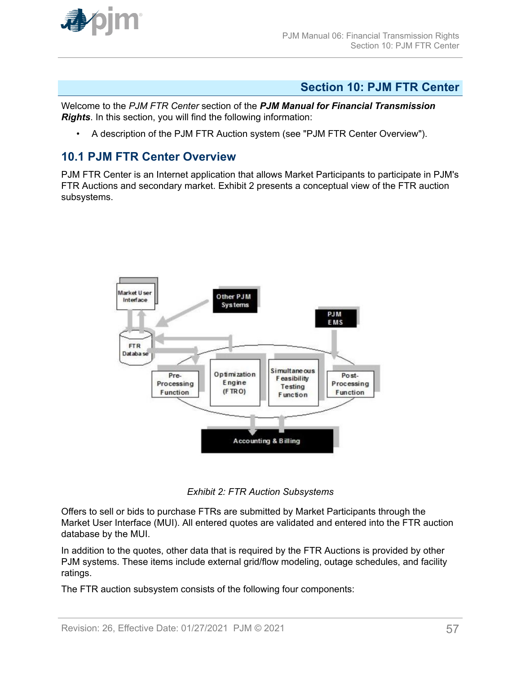<span id="page-56-0"></span>

### **Section 10: PJM FTR Center**

Welcome to the *PJM FTR Center* section of the *PJM Manual for Financial Transmission Rights*. In this section, you will find the following information:

• A description of the PJM FTR Auction system (see "PJM FTR Center Overview").

#### **10.1 PJM FTR Center Overview**

PJM FTR Center is an Internet application that allows Market Participants to participate in PJM's FTR Auctions and secondary market. Exhibit 2 presents a conceptual view of the FTR auction subsystems.



*Exhibit 2: FTR Auction Subsystems*

Offers to sell or bids to purchase FTRs are submitted by Market Participants through the Market User Interface (MUI). All entered quotes are validated and entered into the FTR auction database by the MUI.

In addition to the quotes, other data that is required by the FTR Auctions is provided by other PJM systems. These items include external grid/flow modeling, outage schedules, and facility ratings.

The FTR auction subsystem consists of the following four components: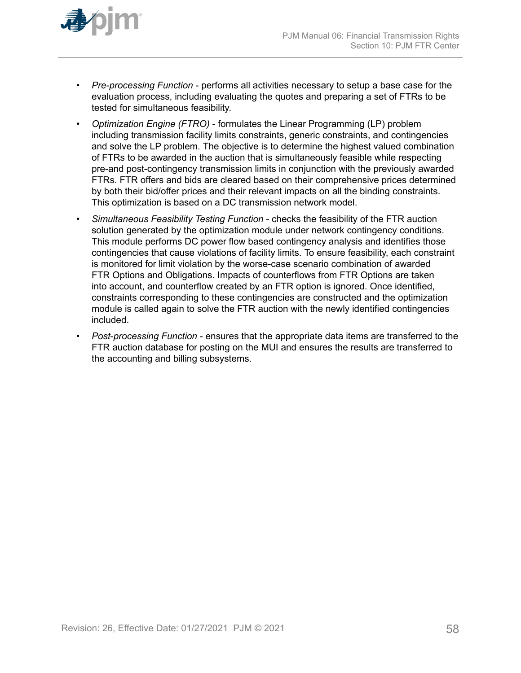

- *Pre-processing Function* performs all activities necessary to setup a base case for the evaluation process, including evaluating the quotes and preparing a set of FTRs to be tested for simultaneous feasibility.
- *Optimization Engine (FTRO)* formulates the Linear Programming (LP) problem including transmission facility limits constraints, generic constraints, and contingencies and solve the LP problem. The objective is to determine the highest valued combination of FTRs to be awarded in the auction that is simultaneously feasible while respecting pre-and post-contingency transmission limits in conjunction with the previously awarded FTRs. FTR offers and bids are cleared based on their comprehensive prices determined by both their bid/offer prices and their relevant impacts on all the binding constraints. This optimization is based on a DC transmission network model.
- *Simultaneous Feasibility Testing Function* checks the feasibility of the FTR auction solution generated by the optimization module under network contingency conditions. This module performs DC power flow based contingency analysis and identifies those contingencies that cause violations of facility limits. To ensure feasibility, each constraint is monitored for limit violation by the worse-case scenario combination of awarded FTR Options and Obligations. Impacts of counterflows from FTR Options are taken into account, and counterflow created by an FTR option is ignored. Once identified, constraints corresponding to these contingencies are constructed and the optimization module is called again to solve the FTR auction with the newly identified contingencies included.
- *Post*-*processing Function* ensures that the appropriate data items are transferred to the FTR auction database for posting on the MUI and ensures the results are transferred to the accounting and billing subsystems.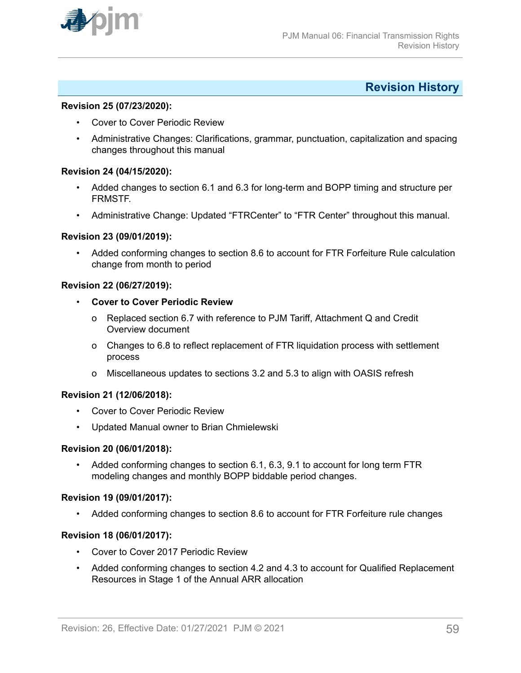<span id="page-58-0"></span>

### **Revision History**

#### **Revision 25 (07/23/2020):**

- Cover to Cover Periodic Review
- Administrative Changes: Clarifications, grammar, punctuation, capitalization and spacing changes throughout this manual

#### **Revision 24 (04/15/2020):**

- Added changes to section 6.1 and 6.3 for long-term and BOPP timing and structure per FRMSTF.
- Administrative Change: Updated "FTRCenter" to "FTR Center" throughout this manual.

#### **Revision 23 (09/01/2019):**

• Added conforming changes to section 8.6 to account for FTR Forfeiture Rule calculation change from month to period

#### **Revision 22 (06/27/2019):**

- **Cover to Cover Periodic Review**
	- o Replaced section 6.7 with reference to PJM Tariff, Attachment Q and Credit Overview document
	- o Changes to 6.8 to reflect replacement of FTR liquidation process with settlement process
	- o Miscellaneous updates to sections 3.2 and 5.3 to align with OASIS refresh

#### **Revision 21 (12/06/2018):**

- Cover to Cover Periodic Review
- Updated Manual owner to Brian Chmielewski

#### **Revision 20 (06/01/2018):**

• Added conforming changes to section 6.1, 6.3, 9.1 to account for long term FTR modeling changes and monthly BOPP biddable period changes.

#### **Revision 19 (09/01/2017):**

• Added conforming changes to section 8.6 to account for FTR Forfeiture rule changes

#### **Revision 18 (06/01/2017):**

- Cover to Cover 2017 Periodic Review
- Added conforming changes to section 4.2 and 4.3 to account for Qualified Replacement Resources in Stage 1 of the Annual ARR allocation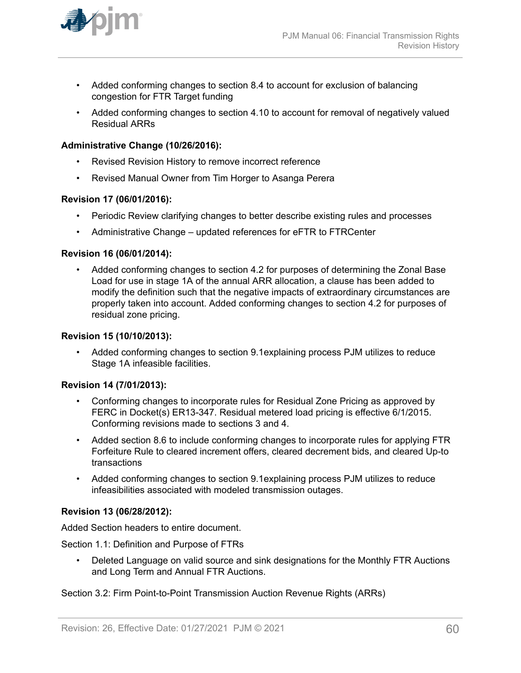

- Added conforming changes to section 8.4 to account for exclusion of balancing congestion for FTR Target funding
- Added conforming changes to section 4.10 to account for removal of negatively valued Residual ARRs

#### **Administrative Change (10/26/2016):**

- Revised Revision History to remove incorrect reference
- Revised Manual Owner from Tim Horger to Asanga Perera

#### **Revision 17 (06/01/2016):**

- Periodic Review clarifying changes to better describe existing rules and processes
- Administrative Change updated references for eFTR to FTRCenter

#### **Revision 16 (06/01/2014):**

• Added conforming changes to section 4.2 for purposes of determining the Zonal Base Load for use in stage 1A of the annual ARR allocation, a clause has been added to modify the definition such that the negative impacts of extraordinary circumstances are properly taken into account. Added conforming changes to section 4.2 for purposes of residual zone pricing.

#### **Revision 15 (10/10/2013):**

• Added conforming changes to section 9.1explaining process PJM utilizes to reduce Stage 1A infeasible facilities.

#### **Revision 14 (7/01/2013):**

- Conforming changes to incorporate rules for Residual Zone Pricing as approved by FERC in Docket(s) ER13-347. Residual metered load pricing is effective 6/1/2015. Conforming revisions made to sections 3 and 4.
- Added section 8.6 to include conforming changes to incorporate rules for applying FTR Forfeiture Rule to cleared increment offers, cleared decrement bids, and cleared Up-to transactions
- Added conforming changes to section 9.1explaining process PJM utilizes to reduce infeasibilities associated with modeled transmission outages.

#### **Revision 13 (06/28/2012):**

Added Section headers to entire document.

Section 1.1: Definition and Purpose of FTRs

• Deleted Language on valid source and sink designations for the Monthly FTR Auctions and Long Term and Annual FTR Auctions.

Section 3.2: Firm Point-to-Point Transmission Auction Revenue Rights (ARRs)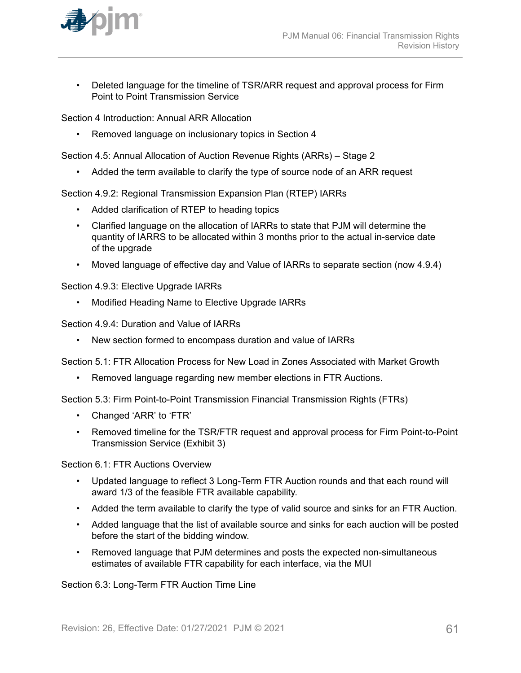

• Deleted language for the timeline of TSR/ARR request and approval process for Firm Point to Point Transmission Service

Section 4 Introduction: Annual ARR Allocation

• Removed language on inclusionary topics in Section 4

Section 4.5: Annual Allocation of Auction Revenue Rights (ARRs) – Stage 2

• Added the term available to clarify the type of source node of an ARR request

Section 4.9.2: Regional Transmission Expansion Plan (RTEP) IARRs

- Added clarification of RTEP to heading topics
- Clarified language on the allocation of IARRs to state that PJM will determine the quantity of IARRS to be allocated within 3 months prior to the actual in-service date of the upgrade
- Moved language of effective day and Value of IARRs to separate section (now 4.9.4)

Section 4.9.3: Elective Upgrade IARRs

• Modified Heading Name to Elective Upgrade IARRs

Section 4.9.4: Duration and Value of IARRs

• New section formed to encompass duration and value of IARRs

Section 5.1: FTR Allocation Process for New Load in Zones Associated with Market Growth

• Removed language regarding new member elections in FTR Auctions.

Section 5.3: Firm Point-to-Point Transmission Financial Transmission Rights (FTRs)

- Changed 'ARR' to 'FTR'
- Removed timeline for the TSR/FTR request and approval process for Firm Point-to-Point Transmission Service (Exhibit 3)

Section 6.1: FTR Auctions Overview

- Updated language to reflect 3 Long-Term FTR Auction rounds and that each round will award 1/3 of the feasible FTR available capability.
- Added the term available to clarify the type of valid source and sinks for an FTR Auction.
- Added language that the list of available source and sinks for each auction will be posted before the start of the bidding window.
- Removed language that PJM determines and posts the expected non-simultaneous estimates of available FTR capability for each interface, via the MUI

Section 6.3: Long-Term FTR Auction Time Line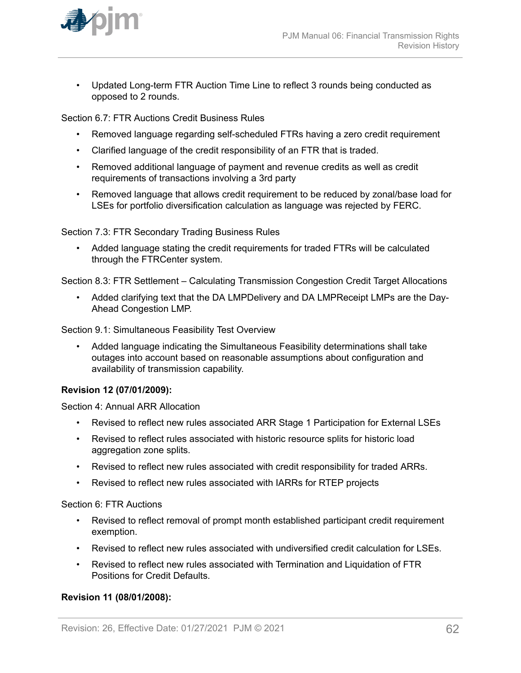

• Updated Long-term FTR Auction Time Line to reflect 3 rounds being conducted as opposed to 2 rounds.

Section 6.7: FTR Auctions Credit Business Rules

- Removed language regarding self-scheduled FTRs having a zero credit requirement
- Clarified language of the credit responsibility of an FTR that is traded.
- Removed additional language of payment and revenue credits as well as credit requirements of transactions involving a 3rd party
- Removed language that allows credit requirement to be reduced by zonal/base load for LSEs for portfolio diversification calculation as language was rejected by FERC.

Section 7.3: FTR Secondary Trading Business Rules

• Added language stating the credit requirements for traded FTRs will be calculated through the FTRCenter system.

Section 8.3: FTR Settlement – Calculating Transmission Congestion Credit Target Allocations

• Added clarifying text that the DA LMPDelivery and DA LMPReceipt LMPs are the Day-Ahead Congestion LMP.

Section 9.1: Simultaneous Feasibility Test Overview

• Added language indicating the Simultaneous Feasibility determinations shall take outages into account based on reasonable assumptions about configuration and availability of transmission capability.

#### **Revision 12 (07/01/2009):**

Section 4: Annual ARR Allocation

- Revised to reflect new rules associated ARR Stage 1 Participation for External LSEs
- Revised to reflect rules associated with historic resource splits for historic load aggregation zone splits.
- Revised to reflect new rules associated with credit responsibility for traded ARRs.
- Revised to reflect new rules associated with IARRs for RTEP projects

Section 6: FTR Auctions

- Revised to reflect removal of prompt month established participant credit requirement exemption.
- Revised to reflect new rules associated with undiversified credit calculation for LSEs.
- Revised to reflect new rules associated with Termination and Liquidation of FTR Positions for Credit Defaults.

#### **Revision 11 (08/01/2008):**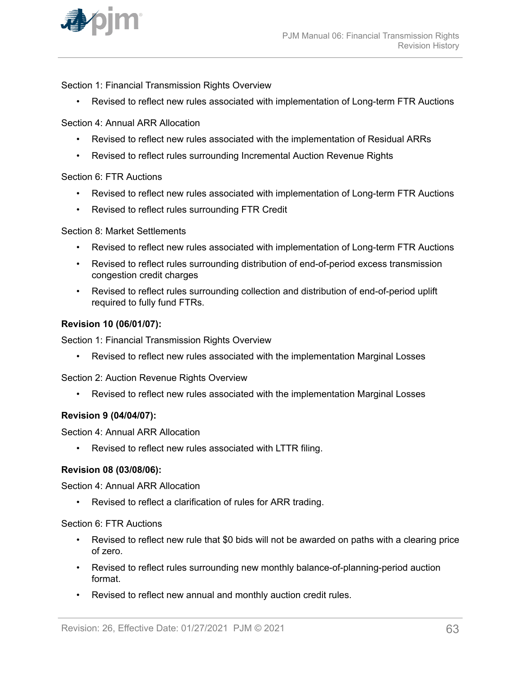

Section 1: Financial Transmission Rights Overview

• Revised to reflect new rules associated with implementation of Long-term FTR Auctions

Section 4: Annual ARR Allocation

- Revised to reflect new rules associated with the implementation of Residual ARRs
- Revised to reflect rules surrounding Incremental Auction Revenue Rights

#### Section 6: FTR Auctions

- Revised to reflect new rules associated with implementation of Long-term FTR Auctions
- Revised to reflect rules surrounding FTR Credit

Section 8: Market Settlements

- Revised to reflect new rules associated with implementation of Long-term FTR Auctions
- Revised to reflect rules surrounding distribution of end-of-period excess transmission congestion credit charges
- Revised to reflect rules surrounding collection and distribution of end-of-period uplift required to fully fund FTRs.

#### **Revision 10 (06/01/07):**

Section 1: Financial Transmission Rights Overview

• Revised to reflect new rules associated with the implementation Marginal Losses

Section 2: Auction Revenue Rights Overview

• Revised to reflect new rules associated with the implementation Marginal Losses

#### **Revision 9 (04/04/07):**

Section 4: Annual ARR Allocation

• Revised to reflect new rules associated with LTTR filing.

#### **Revision 08 (03/08/06):**

Section 4: Annual ARR Allocation

• Revised to reflect a clarification of rules for ARR trading.

#### Section 6: FTR Auctions

- Revised to reflect new rule that \$0 bids will not be awarded on paths with a clearing price of zero.
- Revised to reflect rules surrounding new monthly balance-of-planning-period auction format.
- Revised to reflect new annual and monthly auction credit rules.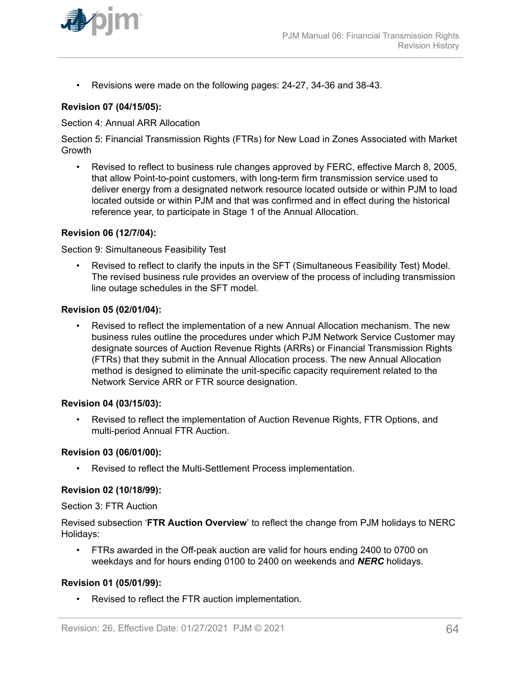

• Revisions were made on the following pages: 24-27, 34-36 and 38-43.

#### **Revision 07 (04/15/05):**

Section 4: Annual ARR Allocation

Section 5: Financial Transmission Rights (FTRs) for New Load in Zones Associated with Market **Growth** 

• Revised to reflect to business rule changes approved by FERC, effective March 8, 2005, that allow Point-to-point customers, with long-term firm transmission service used to deliver energy from a designated network resource located outside or within PJM to load located outside or within PJM and that was confirmed and in effect during the historical reference year, to participate in Stage 1 of the Annual Allocation.

#### **Revision 06 (12/7/04):**

Section 9: Simultaneous Feasibility Test

• Revised to reflect to clarify the inputs in the SFT (Simultaneous Feasibility Test) Model. The revised business rule provides an overview of the process of including transmission line outage schedules in the SFT model.

#### **Revision 05 (02/01/04):**

• Revised to reflect the implementation of a new Annual Allocation mechanism. The new business rules outline the procedures under which PJM Network Service Customer may designate sources of Auction Revenue Rights (ARRs) or Financial Transmission Rights (FTRs) that they submit in the Annual Allocation process. The new Annual Allocation method is designed to eliminate the unit-specific capacity requirement related to the Network Service ARR or FTR source designation.

#### **Revision 04 (03/15/03):**

• Revised to reflect the implementation of Auction Revenue Rights, FTR Options, and multi-period Annual FTR Auction.

#### **Revision 03 (06/01/00):**

• Revised to reflect the Multi-Settlement Process implementation.

#### **Revision 02 (10/18/99):**

Section 3: FTR Auction

Revised subsection '**FTR Auction Overview**' to reflect the change from PJM holidays to NERC Holidays:

• FTRs awarded in the Off-peak auction are valid for hours ending 2400 to 0700 on weekdays and for hours ending 0100 to 2400 on weekends and *NERC* holidays.

#### **Revision 01 (05/01/99):**

• Revised to reflect the FTR auction implementation.